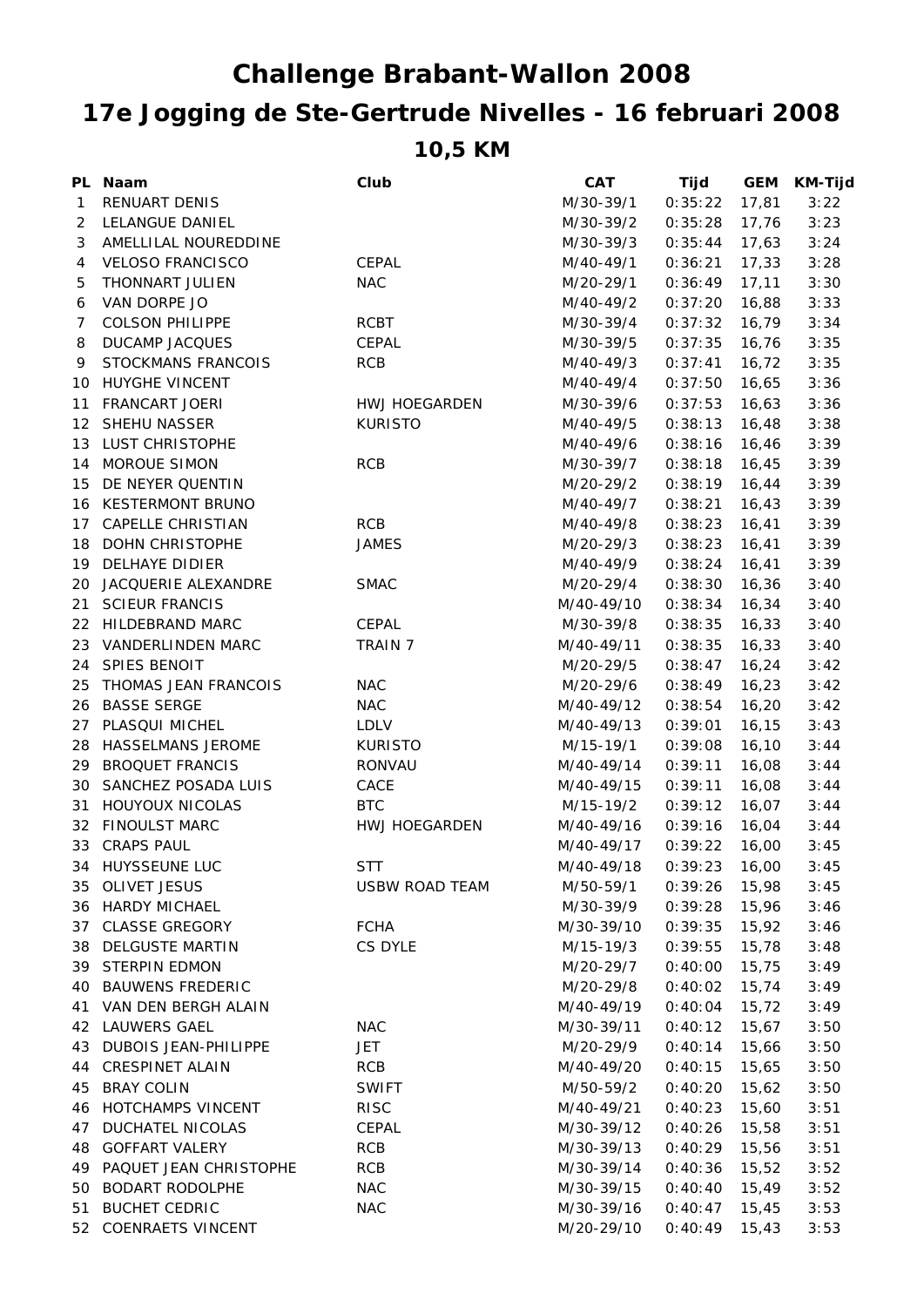## **10,5 KM 17e Jogging de Ste-Gertrude Nivelles - 16 februari 2008 Challenge Brabant-Wallon 2008**

|                  | PL Naam                  | Club           | <b>CAT</b> | Tijd    | <b>GEM</b> | <b>KM-Tijd</b> |
|------------------|--------------------------|----------------|------------|---------|------------|----------------|
| 1                | <b>RENUART DENIS</b>     |                | M/30-39/1  | 0:35:22 | 17,81      | 3:22           |
| 2                | LELANGUE DANIEL          |                | M/30-39/2  | 0:35:28 | 17,76      | 3:23           |
| 3                | AMELLILAL NOUREDDINE     |                | M/30-39/3  | 0:35:44 | 17,63      | 3:24           |
| 4                | <b>VELOSO FRANCISCO</b>  | CEPAL          | M/40-49/1  | 0:36:21 | 17,33      | 3:28           |
| 5                | THONNART JULIEN          | <b>NAC</b>     | M/20-29/1  | 0:36:49 | 17,11      | 3:30           |
| 6                | VAN DORPE JO             |                | M/40-49/2  | 0:37:20 | 16,88      | 3:33           |
| 7                | <b>COLSON PHILIPPE</b>   | <b>RCBT</b>    | M/30-39/4  | 0:37:32 | 16,79      | 3:34           |
| 8                | <b>DUCAMP JACQUES</b>    | CEPAL          | M/30-39/5  | 0:37:35 | 16,76      | 3:35           |
| 9                | STOCKMANS FRANCOIS       | <b>RCB</b>     | M/40-49/3  | 0:37:41 | 16,72      | 3:35           |
| 10               | HUYGHE VINCENT           |                | M/40-49/4  | 0:37:50 | 16,65      | 3:36           |
| 11               | FRANCART JOERI           | HWJ HOEGARDEN  | M/30-39/6  | 0:37:53 | 16,63      | 3:36           |
| 12 <sup>12</sup> | SHEHU NASSER             | <b>KURISTO</b> | M/40-49/5  | 0:38:13 | 16,48      | 3:38           |
| 13               | LUST CHRISTOPHE          |                | M/40-49/6  | 0:38:16 | 16,46      | 3:39           |
|                  | 14 MOROUE SIMON          | <b>RCB</b>     | M/30-39/7  | 0:38:18 | 16,45      | 3:39           |
| 15               | DE NEYER QUENTIN         |                | M/20-29/2  | 0:38:19 | 16,44      | 3:39           |
|                  | 16 KESTERMONT BRUNO      |                | M/40-49/7  | 0:38:21 | 16,43      | 3:39           |
| 17               | <b>CAPELLE CHRISTIAN</b> | <b>RCB</b>     | M/40-49/8  | 0:38:23 | 16,41      | 3:39           |
|                  | 18 DOHN CHRISTOPHE       | <b>JAMES</b>   | M/20-29/3  | 0:38:23 | 16,41      | 3:39           |
| 19               | DELHAYE DIDIER           |                | M/40-49/9  | 0:38:24 | 16,41      | 3:39           |
| 20               | JACQUERIE ALEXANDRE      | <b>SMAC</b>    | M/20-29/4  | 0:38:30 | 16,36      | 3:40           |
| 21               | <b>SCIEUR FRANCIS</b>    |                | M/40-49/10 | 0:38:34 | 16,34      | 3:40           |
| 22               | HILDEBRAND MARC          | CEPAL          | M/30-39/8  | 0:38:35 | 16,33      | 3:40           |
| 23               | VANDERLINDEN MARC        | <b>TRAIN 7</b> | M/40-49/11 | 0:38:35 | 16,33      | 3:40           |
| 24               | SPIES BENOIT             |                | M/20-29/5  | 0:38:47 | 16,24      | 3:42           |
| 25               | THOMAS JEAN FRANCOIS     | <b>NAC</b>     | M/20-29/6  | 0:38:49 | 16,23      | 3:42           |
|                  | 26 BASSE SERGE           | <b>NAC</b>     | M/40-49/12 | 0:38:54 | 16,20      | 3:42           |
| 27               | PLASQUI MICHEL           | LDLV           | M/40-49/13 | 0:39:01 | 16,15      | 3:43           |
|                  | 28 HASSELMANS JEROME     | <b>KURISTO</b> | M/15-19/1  | 0:39:08 | 16,10      | 3:44           |
| 29               | <b>BROQUET FRANCIS</b>   | RONVAU         | M/40-49/14 | 0:39:11 | 16,08      | 3:44           |
| 30               | SANCHEZ POSADA LUIS      | CACE           | M/40-49/15 | 0:39:11 | 16,08      | 3:44           |
| 31               | HOUYOUX NICOLAS          | <b>BTC</b>     | M/15-19/2  | 0:39:12 | 16,07      | 3:44           |
|                  | 32 FINOULST MARC         | HWJ HOEGARDEN  | M/40-49/16 | 0:39:16 | 16,04      | 3:44           |
|                  | 33 CRAPS PAUL            |                | M/40-49/17 | 0:39:22 | 16,00      | 3:45           |
|                  | 34 HUYSSEUNE LUC         | <b>STT</b>     | M/40-49/18 | 0:39:23 | 16,00      | 3:45           |
|                  | 35 OLIVET JESUS          | USBW ROAD TEAM | M/50-59/1  | 0:39:26 | 15,98      | 3:45           |
|                  | 36 HARDY MICHAEL         |                | M/30-39/9  | 0:39:28 | 15,96      | 3:46           |
| 37               | <b>CLASSE GREGORY</b>    | <b>FCHA</b>    | M/30-39/10 | 0:39:35 | 15,92      | 3:46           |
|                  | 38 DELGUSTE MARTIN       | CS DYLE        | M/15-19/3  | 0:39:55 | 15,78      | 3:48           |
|                  | 39 STERPIN EDMON         |                | M/20-29/7  | 0:40:00 | 15,75      | 3:49           |
| 40               | <b>BAUWENS FREDERIC</b>  |                | M/20-29/8  | 0:40:02 | 15,74      | 3:49           |
| 41               | VAN DEN BERGH ALAIN      |                | M/40-49/19 | 0:40:04 | 15,72      | 3:49           |
| 42               | <b>LAUWERS GAEL</b>      | <b>NAC</b>     | M/30-39/11 | 0:40:12 | 15,67      | 3:50           |
| 43               | DUBOIS JEAN-PHILIPPE     | JET            | M/20-29/9  | 0:40:14 | 15,66      | 3:50           |
| 44               | <b>CRESPINET ALAIN</b>   | <b>RCB</b>     | M/40-49/20 | 0:40:15 | 15,65      | 3:50           |
| 45               | <b>BRAY COLIN</b>        | <b>SWIFT</b>   | M/50-59/2  | 0:40:20 | 15,62      | 3:50           |
|                  | 46 HOTCHAMPS VINCENT     | <b>RISC</b>    | M/40-49/21 | 0:40:23 | 15,60      | 3:51           |
| 47               | DUCHATEL NICOLAS         | CEPAL          | M/30-39/12 | 0:40:26 | 15,58      | 3:51           |
| 48               | <b>GOFFART VALERY</b>    | <b>RCB</b>     | M/30-39/13 | 0:40:29 | 15,56      | 3:51           |
| 49               | PAQUET JEAN CHRISTOPHE   | <b>RCB</b>     | M/30-39/14 | 0:40:36 | 15,52      | 3:52           |
| 50               | <b>BODART RODOLPHE</b>   | NAC            | M/30-39/15 | 0:40:40 | 15,49      | 3:52           |
| 51               | <b>BUCHET CEDRIC</b>     | <b>NAC</b>     | M/30-39/16 | 0:40:47 | 15,45      | 3:53           |
|                  | 52 COENRAETS VINCENT     |                | M/20-29/10 | 0:40:49 | 15,43      | 3:53           |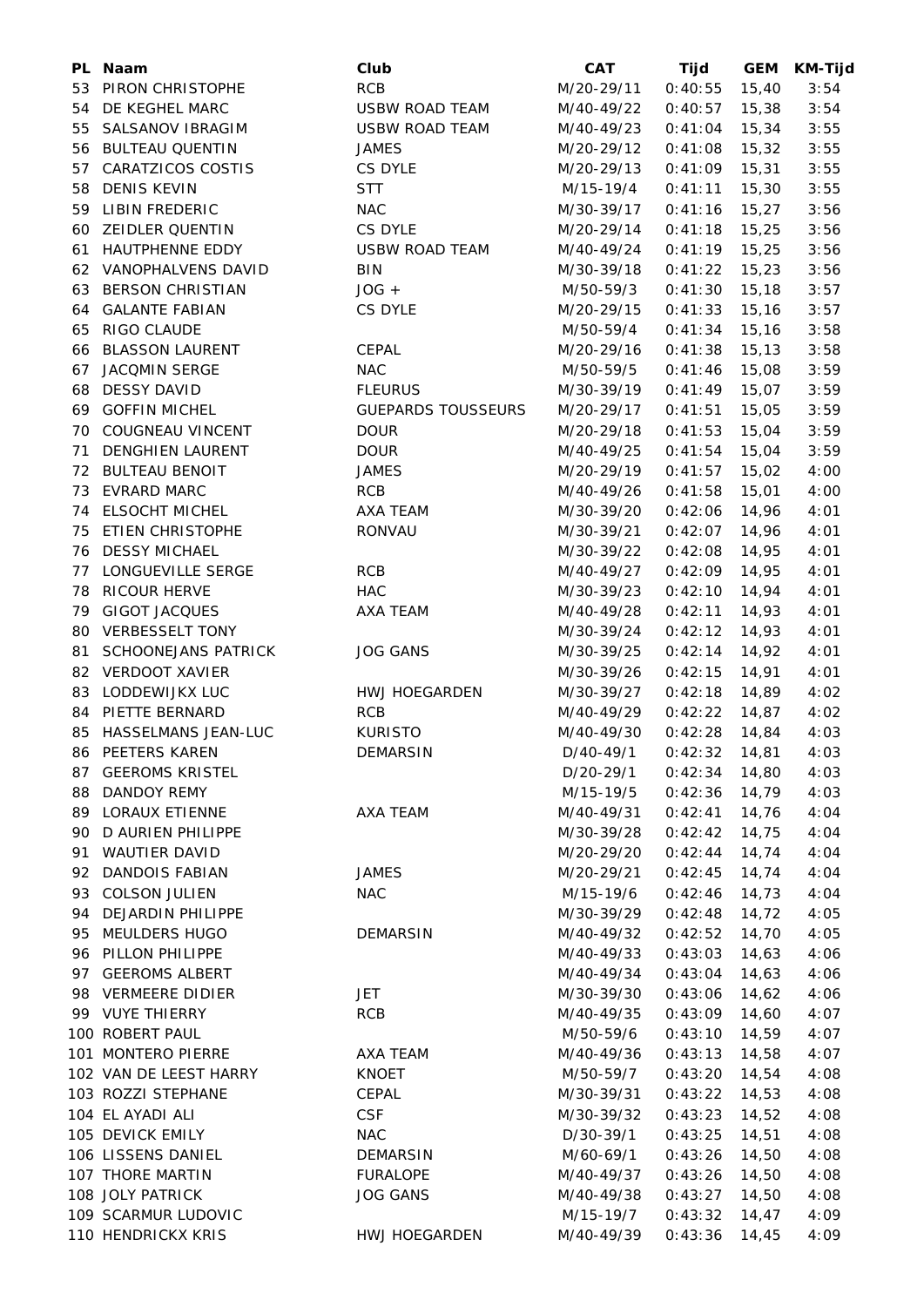|    | PL Naam                                  | Club                         | <b>CAT</b>                | Tijd               | <b>GEM</b> | <b>KM-Tijd</b> |
|----|------------------------------------------|------------------------------|---------------------------|--------------------|------------|----------------|
| 53 | PIRON CHRISTOPHE                         | <b>RCB</b>                   | M/20-29/11                | 0:40:55            | 15,40      | 3:54           |
| 54 | DE KEGHEL MARC                           | <b>USBW ROAD TEAM</b>        | M/40-49/22                | 0:40:57            | 15,38      | 3:54           |
| 55 | SALSANOV IBRAGIM                         | <b>USBW ROAD TEAM</b>        | M/40-49/23                | 0:41:04            | 15,34      | 3:55           |
| 56 | <b>BULTEAU QUENTIN</b>                   | <b>JAMES</b>                 | M/20-29/12                | 0:41:08            | 15,32      | 3:55           |
| 57 | CARATZICOS COSTIS                        | CS DYLE                      | M/20-29/13                | 0:41:09            | 15,31      | 3:55           |
| 58 | <b>DENIS KEVIN</b>                       | <b>STT</b>                   | M/15-19/4                 | 0:41:11            | 15,30      | 3:55           |
| 59 | <b>LIBIN FREDERIC</b>                    | <b>NAC</b>                   | M/30-39/17                | 0:41:16            | 15,27      | 3:56           |
| 60 | <b>ZEIDLER QUENTIN</b>                   | CS DYLE                      | M/20-29/14                | 0:41:18            | 15,25      | 3:56           |
| 61 | HAUTPHENNE EDDY                          | <b>USBW ROAD TEAM</b>        | M/40-49/24                | 0:41:19            | 15,25      | 3:56           |
|    | 62 VANOPHALVENS DAVID                    | <b>BIN</b>                   | M/30-39/18                | 0:41:22            | 15,23      | 3:56           |
| 63 | <b>BERSON CHRISTIAN</b>                  | $JOG +$                      | M/50-59/3                 | 0:41:30            | 15, 18     | 3:57           |
| 64 | <b>GALANTE FABIAN</b>                    | CS DYLE                      | M/20-29/15                | 0:41:33            | 15,16      | 3:57           |
| 65 | RIGO CLAUDE                              |                              | M/50-59/4                 | 0:41:34            | 15, 16     | 3:58           |
| 66 | <b>BLASSON LAURENT</b>                   | <b>CEPAL</b>                 | M/20-29/16                | 0:41:38            | 15, 13     | 3:58           |
| 67 | <b>JACOMIN SERGE</b>                     | <b>NAC</b>                   | M/50-59/5                 | 0:41:46            | 15,08      | 3:59           |
| 68 | <b>DESSY DAVID</b>                       | <b>FLEURUS</b>               | M/30-39/19                | 0:41:49            | 15,07      | 3:59           |
| 69 | <b>GOFFIN MICHEL</b>                     | <b>GUEPARDS TOUSSEURS</b>    | M/20-29/17                | 0:41:51            | 15,05      | 3:59           |
| 70 | COUGNEAU VINCENT                         | <b>DOUR</b>                  | M/20-29/18                | 0:41:53            | 15,04      | 3:59           |
| 71 | <b>DENGHIEN LAURENT</b>                  | <b>DOUR</b>                  | M/40-49/25                | 0:41:54            | 15,04      | 3:59           |
| 72 | <b>BULTEAU BENOIT</b>                    | JAMES                        | M/20-29/19                | 0:41:57            | 15,02      | 4:00           |
| 73 | <b>EVRARD MARC</b>                       | <b>RCB</b>                   | M/40-49/26                | 0:41:58            | 15,01      | 4:00           |
| 74 | <b>ELSOCHT MICHEL</b>                    | AXA TEAM                     | M/30-39/20                | 0:42:06            | 14,96      | 4:01           |
|    | ETIEN CHRISTOPHE                         | RONVAU                       | M/30-39/21                | 0:42:07            |            | 4:01           |
| 75 | <b>DESSY MICHAEL</b>                     |                              |                           |                    | 14,96      |                |
| 76 |                                          |                              | M/30-39/22                | 0:42:08            | 14,95      | 4:01           |
| 77 | LONGUEVILLE SERGE                        | <b>RCB</b>                   | M/40-49/27                | 0:42:09            | 14,95      | 4:01           |
| 78 | <b>RICOUR HERVE</b>                      | <b>HAC</b>                   | M/30-39/23                | 0:42:10            | 14,94      | 4:01           |
| 79 | <b>GIGOT JACQUES</b>                     | AXA TEAM                     | M/40-49/28                | 0:42:11            | 14,93      | 4:01           |
| 80 | <b>VERBESSELT TONY</b>                   |                              | M/30-39/24                | 0:42:12            | 14,93      | 4:01           |
| 81 | <b>SCHOONEJANS PATRICK</b>               | <b>JOG GANS</b>              | M/30-39/25                | 0:42:14            | 14,92      | 4:01           |
| 82 | <b>VERDOOT XAVIER</b>                    |                              | M/30-39/26                | 0:42:15            | 14,91      | 4:01           |
| 83 | LODDEWIJKX LUC                           | HWJ HOEGARDEN                | M/30-39/27                | 0:42:18            | 14,89      | 4:02           |
| 84 | PIETTE BERNARD                           | <b>RCB</b><br><b>KURISTO</b> | M/40-49/29                | 0:42:22            | 14,87      | 4:02           |
| 85 | HASSELMANS JEAN-LUC                      |                              | M/40-49/30                | 0:42:28            | 14,84      | 4:03           |
|    | 86 PEETERS KAREN                         | DEMARSIN                     | $D/40-49/1$ 0:42:32 14,81 |                    |            | 4:03           |
|    | 87 GEEROMS KRISTEL                       |                              | D/20-29/1                 | $0:42:34$ 14,80    |            | 4:03           |
|    | 88 DANDOY REMY                           |                              | M/15-19/5                 | 0:42:36            | 14,79      | 4:03           |
|    | 89 LORAUX ETIENNE                        | AXA TEAM                     | M/40-49/31                | 0:42:41            | 14,76      | 4:04           |
| 90 | D AURIEN PHILIPPE                        |                              | M/30-39/28                | 0:42:42            | 14,75      | 4:04           |
| 91 | <b>WAUTIER DAVID</b>                     |                              | M/20-29/20                | 0:42:44            | 14,74      | 4:04           |
| 92 | <b>DANDOIS FABIAN</b>                    | JAMES                        | M/20-29/21                | 0:42:45            | 14,74      | 4:04           |
|    | 93 COLSON JULIEN<br>94 DEJARDIN PHILIPPE | <b>NAC</b>                   | M/15-19/6                 | 0:42:46<br>0:42:48 | 14,73      | 4:04           |
|    | 95 MEULDERS HUGO                         |                              | M/30-39/29                |                    | 14,72      | 4:05           |
|    | 96 PILLON PHILIPPE                       | <b>DEMARSIN</b>              | M/40-49/32                | 0:42:52            | 14,70      | 4:05           |
|    | 97 GEEROMS ALBERT                        |                              | M/40-49/33                | 0:43:03            | 14,63      | 4:06           |
|    |                                          |                              | M/40-49/34                | 0:43:04            | 14,63      | 4:06           |
|    | 98 VERMEERE DIDIER                       | JET                          | M/30-39/30                | 0:43:06            | 14,62      | 4:06           |
|    | 99 VUYE THIERRY                          | <b>RCB</b>                   | M/40-49/35                | 0:43:09            | 14,60      | 4:07           |
|    | 100 ROBERT PAUL                          |                              | M/50-59/6                 | 0:43:10            | 14,59      | 4:07           |
|    | 101 MONTERO PIERRE                       | AXA TEAM                     | M/40-49/36                | 0:43:13            | 14,58      | 4:07           |
|    | 102 VAN DE LEEST HARRY                   | <b>KNOET</b>                 | M/50-59/7                 | 0:43:20            | 14,54      | 4:08           |
|    | 103 ROZZI STEPHANE                       | CEPAL                        | M/30-39/31                | 0:43:22            | 14,53      | 4:08           |
|    | 104 EL AYADI ALI                         | <b>CSF</b>                   | M/30-39/32                | 0:43:23            | 14,52      | 4:08           |
|    | 105 DEVICK EMILY                         | <b>NAC</b>                   | D/30-39/1                 | 0:43:25            | 14,51      | 4:08           |
|    | 106 LISSENS DANIEL                       | <b>DEMARSIN</b>              | M/60-69/1                 | 0:43:26            | 14,50      | 4:08           |
|    | 107 THORE MARTIN                         | <b>FURALOPE</b>              | M/40-49/37                | 0:43:26            | 14,50      | 4:08           |
|    | 108 JOLY PATRICK                         | <b>JOG GANS</b>              | M/40-49/38                | 0:43:27            | 14,50      | 4:08           |
|    | 109 SCARMUR LUDOVIC                      |                              | M/15-19/7                 | 0:43:32            | 14,47      | 4:09           |
|    | 110 HENDRICKX KRIS                       | HWJ HOEGARDEN                | M/40-49/39                | 0:43:36            | 14,45      | 4:09           |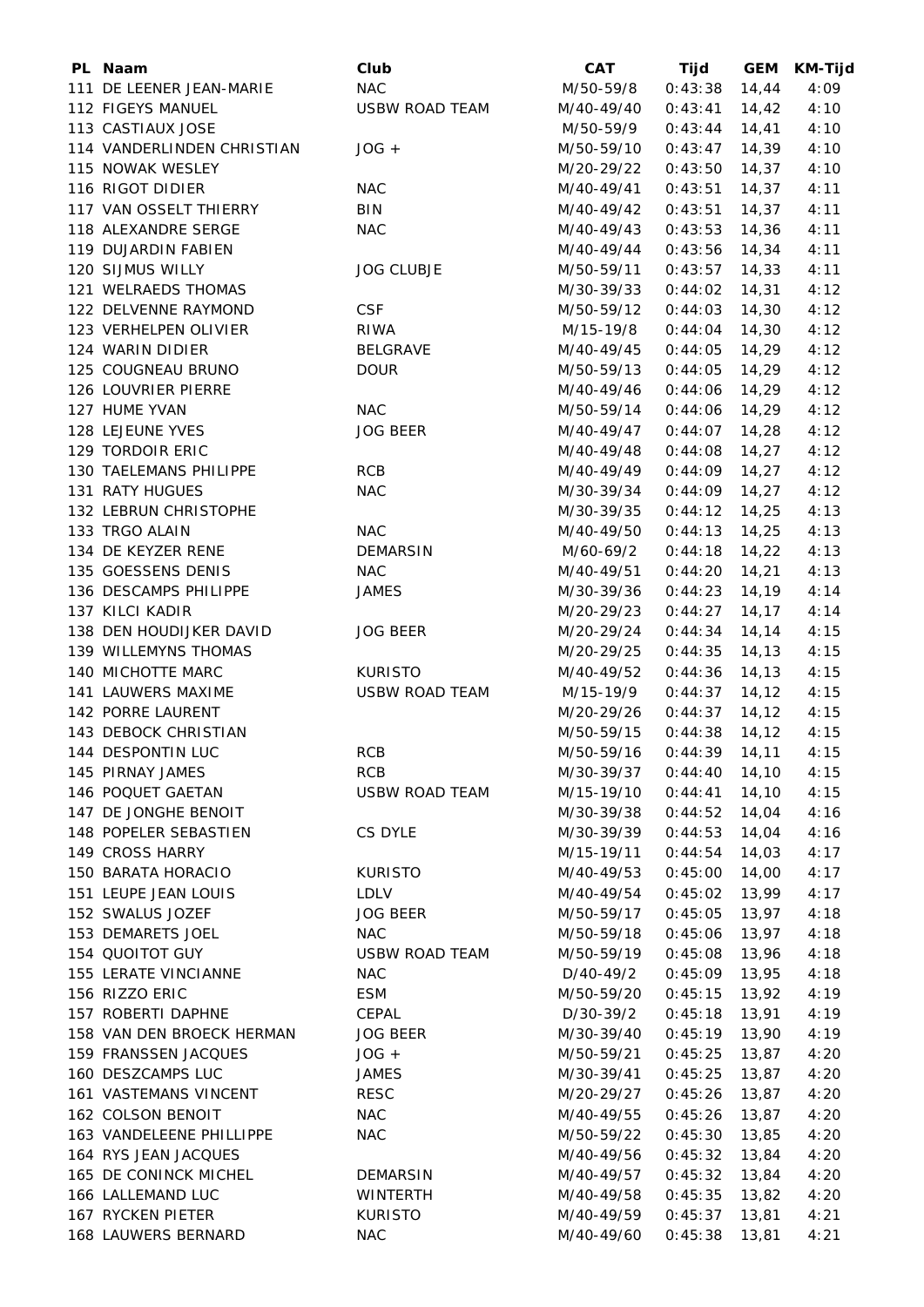| PL Naam                    | Club                  | <b>CAT</b>                 | Tijd            | <b>GEM</b> | <b>KM-Tijd</b> |
|----------------------------|-----------------------|----------------------------|-----------------|------------|----------------|
| 111 DE LEENER JEAN-MARIE   | <b>NAC</b>            | M/50-59/8                  | 0:43:38         | 14,44      | 4:09           |
| 112 FIGEYS MANUEL          | <b>USBW ROAD TEAM</b> | M/40-49/40                 | 0:43:41         | 14,42      | 4:10           |
| 113 CASTIAUX JOSE          |                       | M/50-59/9                  | 0:43:44         | 14,41      | 4:10           |
| 114 VANDERLINDEN CHRISTIAN | $JOG +$               | M/50-59/10                 | 0:43:47         | 14,39      | 4:10           |
| 115 NOWAK WESLEY           |                       | M/20-29/22                 | 0:43:50         | 14,37      | 4:10           |
| 116 RIGOT DIDIER           | <b>NAC</b>            | M/40-49/41                 | 0:43:51         | 14,37      | 4:11           |
| 117 VAN OSSELT THIERRY     | BIN                   | M/40-49/42                 | 0:43:51         | 14,37      | 4:11           |
| 118 ALEXANDRE SERGE        | <b>NAC</b>            | M/40-49/43                 | 0:43:53         | 14,36      | 4:11           |
| 119 DUJARDIN FABIEN        |                       | M/40-49/44                 | 0:43:56         | 14,34      | 4:11           |
| 120 SIJMUS WILLY           | <b>JOG CLUBJE</b>     | M/50-59/11                 | 0:43:57         | 14,33      | 4:11           |
| 121 WELRAEDS THOMAS        |                       | M/30-39/33                 | 0:44:02         | 14,31      | 4:12           |
| 122 DELVENNE RAYMOND       | <b>CSF</b>            | M/50-59/12                 | 0:44:03         | 14,30      | 4:12           |
| 123 VERHELPEN OLIVIER      | <b>RIWA</b>           | M/15-19/8                  | 0:44:04         | 14,30      | 4:12           |
| 124 WARIN DIDIER           | <b>BELGRAVE</b>       | M/40-49/45                 | 0:44:05         | 14,29      | 4:12           |
| 125 COUGNEAU BRUNO         | <b>DOUR</b>           | M/50-59/13                 | 0:44:05         | 14,29      | 4:12           |
| 126 LOUVRIER PIERRE        |                       | M/40-49/46                 | 0:44:06         | 14,29      | 4:12           |
| 127 HUME YVAN              | <b>NAC</b>            | M/50-59/14                 | 0:44:06         | 14,29      | 4:12           |
| 128 LEJEUNE YVES           | <b>JOG BEER</b>       | M/40-49/47                 | 0:44:07         | 14,28      | 4:12           |
| 129 TORDOIR ERIC           |                       | M/40-49/48                 | 0:44:08         | 14,27      | 4:12           |
| 130 TAELEMANS PHILIPPE     | <b>RCB</b>            | M/40-49/49                 | 0:44:09         | 14,27      | 4:12           |
| 131 RATY HUGUES            | <b>NAC</b>            | M/30-39/34                 | 0:44:09         | 14,27      | 4:12           |
| 132 LEBRUN CHRISTOPHE      |                       | M/30-39/35                 | 0:44:12         | 14,25      | 4:13           |
| 133 TRGO ALAIN             | <b>NAC</b>            | M/40-49/50                 | 0:44:13         | 14,25      | 4:13           |
| 134 DE KEYZER RENE         | <b>DEMARSIN</b>       |                            |                 | 14,22      |                |
| 135 GOESSENS DENIS         | <b>NAC</b>            | M/60-69/2                  | 0:44:18         |            | 4:13<br>4:13   |
| 136 DESCAMPS PHILIPPE      | <b>JAMES</b>          | M/40-49/51                 | 0:44:20         | 14,21      |                |
|                            |                       | M/30-39/36                 | 0:44:23         | 14,19      | 4:14           |
| 137 KILCI KADIR            |                       | M/20-29/23                 | 0:44:27         | 14,17      | 4:14           |
| 138 DEN HOUDIJKER DAVID    | <b>JOG BEER</b>       | M/20-29/24                 | 0:44:34         | 14,14      | 4:15           |
| 139 WILLEMYNS THOMAS       |                       | M/20-29/25                 | 0:44:35         | 14,13      | 4:15           |
| 140 MICHOTTE MARC          | <b>KURISTO</b>        | M/40-49/52                 | 0:44:36         | 14,13      | 4:15           |
| 141 LAUWERS MAXIME         | <b>USBW ROAD TEAM</b> | M/15-19/9                  | 0:44:37         | 14,12      | 4:15           |
| 142 PORRE LAURENT          |                       | M/20-29/26                 | 0:44:37         | 14,12      | 4:15           |
| 143 DEBOCK CHRISTIAN       |                       | M/50-59/15                 | 0:44:38         | 14,12      | 4:15           |
| 144 DESPONTIN LUC          | <b>RCB</b>            | M/50-59/16  0:44:39  14,11 |                 |            | 4:15           |
| 145 PIRNAY JAMES           | <b>RCB</b>            | M/30-39/37                 | $0:44:40$ 14,10 |            | 4:15           |
| 146 POQUET GAETAN          | USBW ROAD TEAM        | M/15-19/10                 | $0:44:41$ 14,10 |            | 4:15           |
| 147 DE JONGHE BENOIT       |                       | M/30-39/38                 | $0:44:52$ 14,04 |            | 4:16           |
| 148 POPELER SEBASTIEN      | CS DYLE               | M/30-39/39                 | 0:44:53         | 14,04      | 4:16           |
| 149 CROSS HARRY            |                       | M/15-19/11                 | 0:44:54         | 14,03      | 4:17           |
| 150 BARATA HORACIO         | <b>KURISTO</b>        | M/40-49/53                 | 0:45:00         | 14,00      | 4:17           |
| 151 LEUPE JEAN LOUIS       | LDLV                  | M/40-49/54                 | 0:45:02         | 13,99      | 4:17           |
| 152 SWALUS JOZEF           | <b>JOG BEER</b>       | M/50-59/17                 | 0:45:05         | 13,97      | 4:18           |
| 153 DEMARETS JOEL          | <b>NAC</b>            | M/50-59/18                 | 0:45:06         | 13,97      | 4:18           |
| 154 QUOITOT GUY            | <b>USBW ROAD TEAM</b> | M/50-59/19                 | 0:45:08         | 13,96      | 4:18           |
| 155 LERATE VINCIANNE       | <b>NAC</b>            | D/40-49/2                  | $0:45:09$ 13,95 |            | 4:18           |
| 156 RIZZO ERIC             | <b>ESM</b>            | M/50-59/20                 | $0:45:15$ 13,92 |            | 4:19           |
| 157 ROBERTI DAPHNE         | CEPAL                 | D/30-39/2                  | $0:45:18$ 13,91 |            | 4:19           |
| 158 VAN DEN BROECK HERMAN  | <b>JOG BEER</b>       | M/30-39/40                 | $0:45:19$ 13,90 |            | 4:19           |
| 159 FRANSSEN JACQUES       | $JOG +$               | M/50-59/21                 | 0:45:25         | 13,87      | 4:20           |
| 160 DESZCAMPS LUC          | JAMES                 | M/30-39/41                 | 0:45:25         | 13,87      | 4:20           |
| 161 VASTEMANS VINCENT      | <b>RESC</b>           | M/20-29/27                 | 0:45:26         | 13,87      | 4:20           |
| 162 COLSON BENOIT          | <b>NAC</b>            | M/40-49/55                 | 0:45:26         | 13,87      | 4:20           |
| 163 VANDELEENE PHILLIPPE   | <b>NAC</b>            | M/50-59/22                 | 0:45:30         | 13,85      | 4:20           |
| 164 RYS JEAN JACQUES       |                       | M/40-49/56                 | 0:45:32         | 13,84      | 4:20           |
| 165 DE CONINCK MICHEL      | DEMARSIN              | M/40-49/57                 | 0:45:32         | 13,84      | 4:20           |
| 166 LALLEMAND LUC          | WINTERTH              | M/40-49/58                 | 0:45:35         | 13,82      | 4:20           |
| 167 RYCKEN PIETER          | <b>KURISTO</b>        | M/40-49/59                 | 0:45:37         | 13,81      | 4:21           |
| 168 LAUWERS BERNARD        | <b>NAC</b>            | M/40-49/60                 | $0:45:38$ 13,81 |            | 4:21           |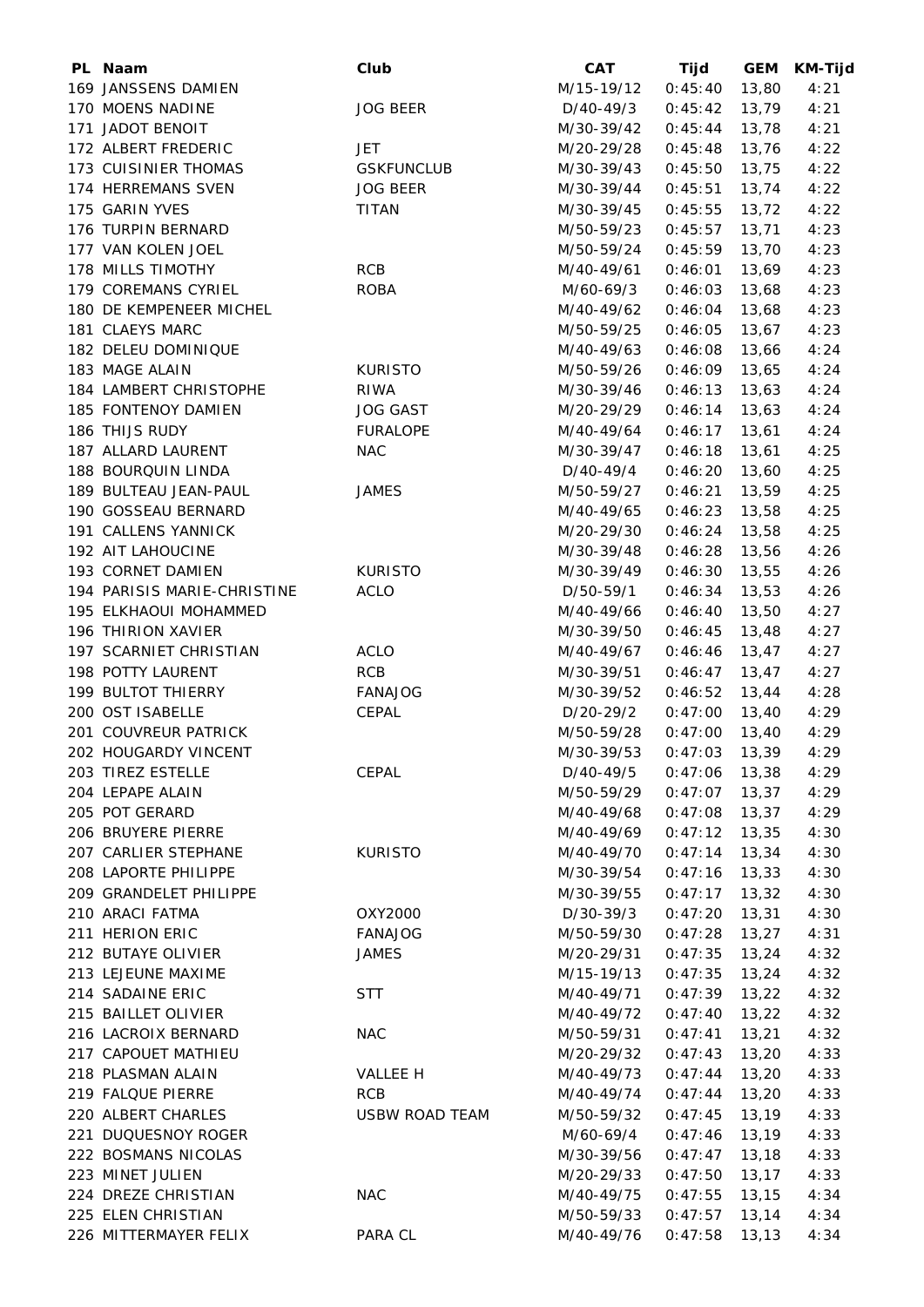| PL Naam                     | Club                  | <b>CAT</b>               | Tijd            | <b>GEM</b> | <b>KM-Tijd</b> |
|-----------------------------|-----------------------|--------------------------|-----------------|------------|----------------|
| 169 JANSSENS DAMIEN         |                       | M/15-19/12               | 0:45:40         | 13,80      | 4:21           |
| 170 MOENS NADINE            | <b>JOG BEER</b>       | D/40-49/3                | 0:45:42         | 13,79      | 4:21           |
| 171 JADOT BENOIT            |                       | M/30-39/42               | 0:45:44         | 13,78      | 4:21           |
| 172 ALBERT FREDERIC         | <b>JET</b>            | M/20-29/28               | 0:45:48         | 13,76      | 4:22           |
| 173 CUISINIER THOMAS        | <b>GSKFUNCLUB</b>     | M/30-39/43               | 0:45:50         | 13,75      | 4:22           |
| 174 HERREMANS SVEN          | <b>JOG BEER</b>       | M/30-39/44               | 0:45:51         | 13,74      | 4:22           |
| 175 GARIN YVES              | <b>TITAN</b>          | M/30-39/45               | 0:45:55         | 13,72      | 4:22           |
| 176 TURPIN BERNARD          |                       | M/50-59/23               | 0:45:57         | 13,71      | 4:23           |
| 177 VAN KOLEN JOEL          |                       | M/50-59/24               | 0:45:59         | 13,70      | 4:23           |
| 178 MILLS TIMOTHY           | RCB                   | M/40-49/61               | 0:46:01         | 13,69      | 4:23           |
| 179 COREMANS CYRIEL         | <b>ROBA</b>           | M/60-69/3                | 0:46:03         | 13,68      | 4:23           |
| 180 DE KEMPENEER MICHEL     |                       | M/40-49/62               | 0:46:04         | 13,68      | 4:23           |
| 181 CLAEYS MARC             |                       | M/50-59/25               | 0:46:05         | 13,67      | 4:23           |
| 182 DELEU DOMINIQUE         |                       | M/40-49/63               | 0:46:08         | 13,66      | 4:24           |
| 183 MAGE ALAIN              | <b>KURISTO</b>        | M/50-59/26               | 0:46:09         | 13,65      | 4:24           |
| 184 LAMBERT CHRISTOPHE      | <b>RIWA</b>           | M/30-39/46               | 0:46:13         | 13,63      | 4:24           |
| 185 FONTENOY DAMIEN         | <b>JOG GAST</b>       | M/20-29/29               | 0:46:14         | 13,63      | 4:24           |
| 186 THIJS RUDY              | <b>FURALOPE</b>       | M/40-49/64               | 0:46:17         | 13,61      | 4:24           |
| 187 ALLARD LAURENT          | <b>NAC</b>            | M/30-39/47               | 0:46:18         | 13,61      | 4:25           |
| 188 BOURQUIN LINDA          |                       | D/40-49/4                | 0:46:20         | 13,60      | 4:25           |
| 189 BULTEAU JEAN-PAUL       | <b>JAMES</b>          | M/50-59/27               | 0:46:21         | 13,59      | 4:25           |
| 190 GOSSEAU BERNARD         |                       | M/40-49/65               | 0:46:23         | 13,58      | 4:25           |
| 191 CALLENS YANNICK         |                       | M/20-29/30               | 0:46:24         | 13,58      | 4:25           |
| 192 AIT LAHOUCINE           |                       | M/30-39/48               | 0:46:28         | 13,56      | 4:26           |
| 193 CORNET DAMIEN           | <b>KURISTO</b>        | M/30-39/49               | 0:46:30         | 13,55      | 4:26           |
| 194 PARISIS MARIE-CHRISTINE | <b>ACLO</b>           | D/50-59/1                | 0:46:34         | 13,53      | 4:26           |
| 195 ELKHAOUI MOHAMMED       |                       | M/40-49/66               | 0:46:40         | 13,50      | 4:27           |
| 196 THIRION XAVIER          |                       | M/30-39/50               | 0:46:45         | 13,48      | 4:27           |
| 197 SCARNIET CHRISTIAN      | ACLO                  | M/40-49/67               | 0:46:46         | 13,47      | 4:27           |
| 198 POTTY LAURENT           | <b>RCB</b>            | M/30-39/51               | 0:46:47         | 13,47      | 4:27           |
| 199 BULTOT THIERRY          | <b>FANAJOG</b>        | M/30-39/52               | 0:46:52         | 13,44      | 4:28           |
| 200 OST ISABELLE            | <b>CEPAL</b>          | D/20-29/2                | 0:47:00         | 13,40      | 4:29           |
| 201 COUVREUR PATRICK        |                       | M/50-59/28               | 0:47:00         | 13,40      | 4:29           |
| 202 HOUGARDY VINCENT        |                       | M/30-39/53 0:47:03 13,39 |                 |            | 4:29           |
| 203 TIREZ ESTELLE           | CEPAL                 | D/40-49/5                | $0:47:06$ 13,38 |            | 4:29           |
| 204 LEPAPE ALAIN            |                       | M/50-59/29               | $0:47:07$ 13,37 |            | 4:29           |
| 205 POT GERARD              |                       | M/40-49/68               | 0:47:08         | 13,37      | 4:29           |
| 206 BRUYERE PIERRE          |                       | M/40-49/69               | 0:47:12         | 13,35      | 4:30           |
| 207 CARLIER STEPHANE        | <b>KURISTO</b>        | M/40-49/70               | 0:47:14         | 13,34      | 4:30           |
| 208 LAPORTE PHILIPPE        |                       | M/30-39/54               | 0:47:16         | 13,33      | 4:30           |
| 209 GRANDELET PHILIPPE      |                       | M/30-39/55               | 0:47:17         | 13,32      | 4:30           |
| 210 ARACI FATMA             | OXY2000               | D/30-39/3                | 0:47:20         | 13,31      | 4:30           |
| 211 HERION ERIC             | <b>FANAJOG</b>        | M/50-59/30               | 0:47:28         | 13,27      | 4:31           |
| 212 BUTAYE OLIVIER          | <b>JAMES</b>          | M/20-29/31               | 0:47:35         | 13,24      | 4:32           |
| 213 LEJEUNE MAXIME          |                       | M/15-19/13               | 0:47:35         | 13,24      | 4:32           |
| 214 SADAINE ERIC            | <b>STT</b>            | M/40-49/71               | 0:47:39         | 13,22      | 4:32           |
| 215 BAILLET OLIVIER         |                       | M/40-49/72               | 0:47:40         | 13,22      | 4:32           |
| 216 LACROIX BERNARD         | <b>NAC</b>            | M/50-59/31               | 0:47:41         | 13,21      | 4:32           |
| 217 CAPOUET MATHIEU         |                       | M/20-29/32               | 0:47:43         | 13,20      | 4:33           |
| 218 PLASMAN ALAIN           | VALLEE H              | M/40-49/73               | 0:47:44         | 13,20      | 4:33           |
| 219 FALQUE PIERRE           | RCB                   | M/40-49/74               | 0:47:44         | 13,20      | 4:33           |
| 220 ALBERT CHARLES          | <b>USBW ROAD TEAM</b> | M/50-59/32               | 0:47:45         | 13,19      | 4:33           |
| 221 DUQUESNOY ROGER         |                       | M/60-69/4                | 0:47:46         | 13,19      | 4:33           |
| 222 BOSMANS NICOLAS         |                       | M/30-39/56               | 0:47:47         | 13,18      | 4:33           |
| 223 MINET JULIEN            |                       | M/20-29/33               | 0:47:50         | 13,17      | 4:33           |
| 224 DREZE CHRISTIAN         | <b>NAC</b>            | M/40-49/75               | 0:47:55         | 13,15      | 4:34           |
| 225 ELEN CHRISTIAN          |                       | M/50-59/33               | 0:47:57         | 13,14      | 4:34           |
| 226 MITTERMAYER FELIX       | PARA CL               | M/40-49/76               | $0:47:58$ 13,13 |            | 4:34           |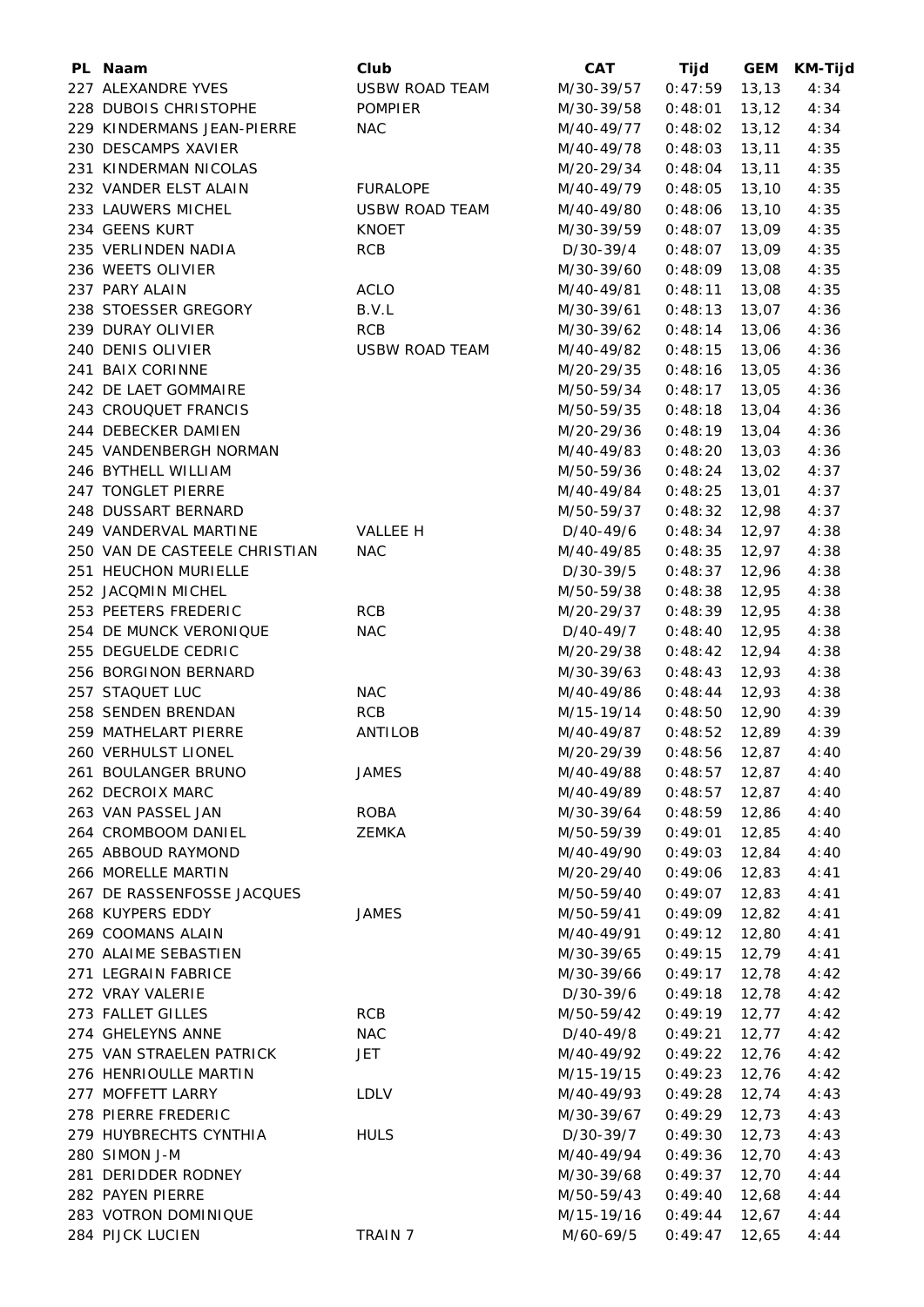| PL Naam                       | Club                  | <b>CAT</b>               | Tijd            | <b>GEM</b> | KM-Tijd |
|-------------------------------|-----------------------|--------------------------|-----------------|------------|---------|
| 227 ALEXANDRE YVES            | <b>USBW ROAD TEAM</b> | M/30-39/57               | 0:47:59         | 13,13      | 4:34    |
| 228 DUBOIS CHRISTOPHE         | <b>POMPIER</b>        | M/30-39/58               | 0:48:01         | 13,12      | 4:34    |
| 229 KINDERMANS JEAN-PIERRE    | <b>NAC</b>            | M/40-49/77               | 0:48:02         | 13,12      | 4:34    |
| 230 DESCAMPS XAVIER           |                       | M/40-49/78               | 0:48:03         | 13, 11     | 4:35    |
| 231 KINDERMAN NICOLAS         |                       | M/20-29/34               | 0:48:04         | 13,11      | 4:35    |
| 232 VANDER ELST ALAIN         | <b>FURALOPE</b>       | M/40-49/79               | 0:48:05         | 13,10      | 4:35    |
| 233 LAUWERS MICHEL            | <b>USBW ROAD TEAM</b> | M/40-49/80               | 0:48:06         | 13,10      | 4:35    |
| 234 GEENS KURT                | <b>KNOET</b>          | M/30-39/59               | 0:48:07         | 13,09      | 4:35    |
| 235 VERLINDEN NADIA           | <b>RCB</b>            | D/30-39/4                | 0:48:07         | 13,09      | 4:35    |
| 236 WEETS OLIVIER             |                       | M/30-39/60               | 0:48:09         | 13,08      | 4:35    |
| 237 PARY ALAIN                | <b>ACLO</b>           | M/40-49/81               | 0:48:11         | 13,08      | 4:35    |
| 238 STOESSER GREGORY          | B.V.L                 | M/30-39/61               | 0:48:13         | 13,07      | 4:36    |
| 239 DURAY OLIVIER             | <b>RCB</b>            | M/30-39/62               | 0:48:14         | 13,06      | 4:36    |
| 240 DENIS OLIVIER             | <b>USBW ROAD TEAM</b> | M/40-49/82               | 0:48:15         | 13,06      | 4:36    |
| 241 BAIX CORINNE              |                       | M/20-29/35               | 0:48:16         | 13,05      | 4:36    |
| 242 DE LAET GOMMAIRE          |                       | M/50-59/34               | 0:48:17         | 13,05      | 4:36    |
| 243 CROUQUET FRANCIS          |                       | M/50-59/35               | 0:48:18         | 13,04      | 4:36    |
| 244 DEBECKER DAMIEN           |                       | M/20-29/36               | 0:48:19         | 13,04      | 4:36    |
| 245 VANDENBERGH NORMAN        |                       | M/40-49/83               | 0:48:20         | 13,03      | 4:36    |
| 246 BYTHELL WILLIAM           |                       | M/50-59/36               | 0:48:24         | 13,02      | 4:37    |
| 247 TONGLET PIERRE            |                       | M/40-49/84               | 0:48:25         | 13,01      | 4:37    |
| 248 DUSSART BERNARD           |                       | M/50-59/37               | 0:48:32         | 12,98      | 4:37    |
| 249 VANDERVAL MARTINE         | <b>VALLEE H</b>       | D/40-49/6                | 0:48:34         | 12,97      | 4:38    |
| 250 VAN DE CASTEELE CHRISTIAN | <b>NAC</b>            | M/40-49/85               | 0:48:35         | 12,97      | 4:38    |
| 251 HEUCHON MURIELLE          |                       | D/30-39/5                | 0:48:37         | 12,96      | 4:38    |
| 252 JACQMIN MICHEL            |                       | M/50-59/38               | 0:48:38         | 12,95      | 4:38    |
| 253 PEETERS FREDERIC          | <b>RCB</b>            | M/20-29/37               | 0:48:39         | 12,95      | 4:38    |
| 254 DE MUNCK VERONIQUE        | <b>NAC</b>            | D/40-49/7                | 0:48:40         | 12,95      | 4:38    |
| 255 DEGUELDE CEDRIC           |                       | M/20-29/38               | 0:48:42         | 12,94      | 4:38    |
| 256 BORGINON BERNARD          |                       | M/30-39/63               | 0:48:43         | 12,93      | 4:38    |
| 257 STAQUET LUC               | <b>NAC</b>            | M/40-49/86               | 0:48:44         | 12,93      | 4:38    |
| 258 SENDEN BRENDAN            | <b>RCB</b>            | M/15-19/14               | 0:48:50         | 12,90      | 4:39    |
| 259 MATHELART PIERRE          | ANTILOB               | M/40-49/87               | 0:48:52         | 12,89      | 4:39    |
| 260 VERHULST LIONEL           |                       | M/20-29/39 0:48:56 12,87 |                 |            | 4:40    |
| 261 BOULANGER BRUNO           | <b>JAMES</b>          | M/40-49/88               | $0:48:57$ 12,87 |            | 4:40    |
| 262 DECROIX MARC              |                       | M/40-49/89               | $0:48:57$ 12,87 |            | 4:40    |
| 263 VAN PASSEL JAN            | ROBA                  | M/30-39/64               | 0:48:59         | 12,86      | 4:40    |
| 264 CROMBOOM DANIEL           | ZEMKA                 | M/50-59/39               | 0:49:01         | 12,85      | 4:40    |
| 265 ABBOUD RAYMOND            |                       | M/40-49/90               | 0:49:03         | 12,84      | 4:40    |
| 266 MORELLE MARTIN            |                       | M/20-29/40               | 0:49:06         | 12,83      | 4:41    |
| 267 DE RASSENFOSSE JACQUES    |                       | M/50-59/40               | 0:49:07         | 12,83      | 4:41    |
| 268 KUYPERS EDDY              | JAMES                 | M/50-59/41               | 0:49:09         | 12,82      | 4:41    |
| 269 COOMANS ALAIN             |                       | M/40-49/91               | 0:49:12         | 12,80      | 4:41    |
| 270 ALAIME SEBASTIEN          |                       | M/30-39/65               | 0:49:15         | 12,79      | 4:41    |
| 271 LEGRAIN FABRICE           |                       | M/30-39/66               | 0:49:17         | 12,78      | 4:42    |
| 272 VRAY VALERIE              |                       | D/30-39/6                | 0:49:18         | 12,78      | 4:42    |
| 273 FALLET GILLES             | <b>RCB</b>            | M/50-59/42               | 0:49:19         | 12,77      | 4:42    |
| 274 GHELEYNS ANNE             | <b>NAC</b>            | D/40-49/8                | 0:49:21         | 12,77      | 4:42    |
| 275 VAN STRAELEN PATRICK      | JET                   | M/40-49/92               | 0:49:22         | 12,76      | 4:42    |
| 276 HENRIOULLE MARTIN         |                       | M/15-19/15               | 0:49:23         | 12,76      | 4:42    |
| 277 MOFFETT LARRY             | <b>LDLV</b>           | M/40-49/93               | 0:49:28         | 12,74      | 4:43    |
| 278 PIERRE FREDERIC           |                       | M/30-39/67               | 0:49:29         | 12,73      | 4:43    |
| 279 HUYBRECHTS CYNTHIA        | <b>HULS</b>           | D/30-39/7                | 0:49:30         | 12,73      | 4:43    |
| 280 SIMON J-M                 |                       | M/40-49/94               | 0:49:36         | 12,70      | 4:43    |
| 281 DERIDDER RODNEY           |                       | M/30-39/68               | 0:49:37         | 12,70      | 4:44    |
| 282 PAYEN PIERRE              |                       | M/50-59/43               | 0:49:40         | 12,68      | 4:44    |
| 283 VOTRON DOMINIQUE          |                       | M/15-19/16               | 0:49:44         | 12,67      | 4:44    |
| 284 PIJCK LUCIEN              | TRAIN 7               | M/60-69/5                | 0:49:47         | 12,65      | 4:44    |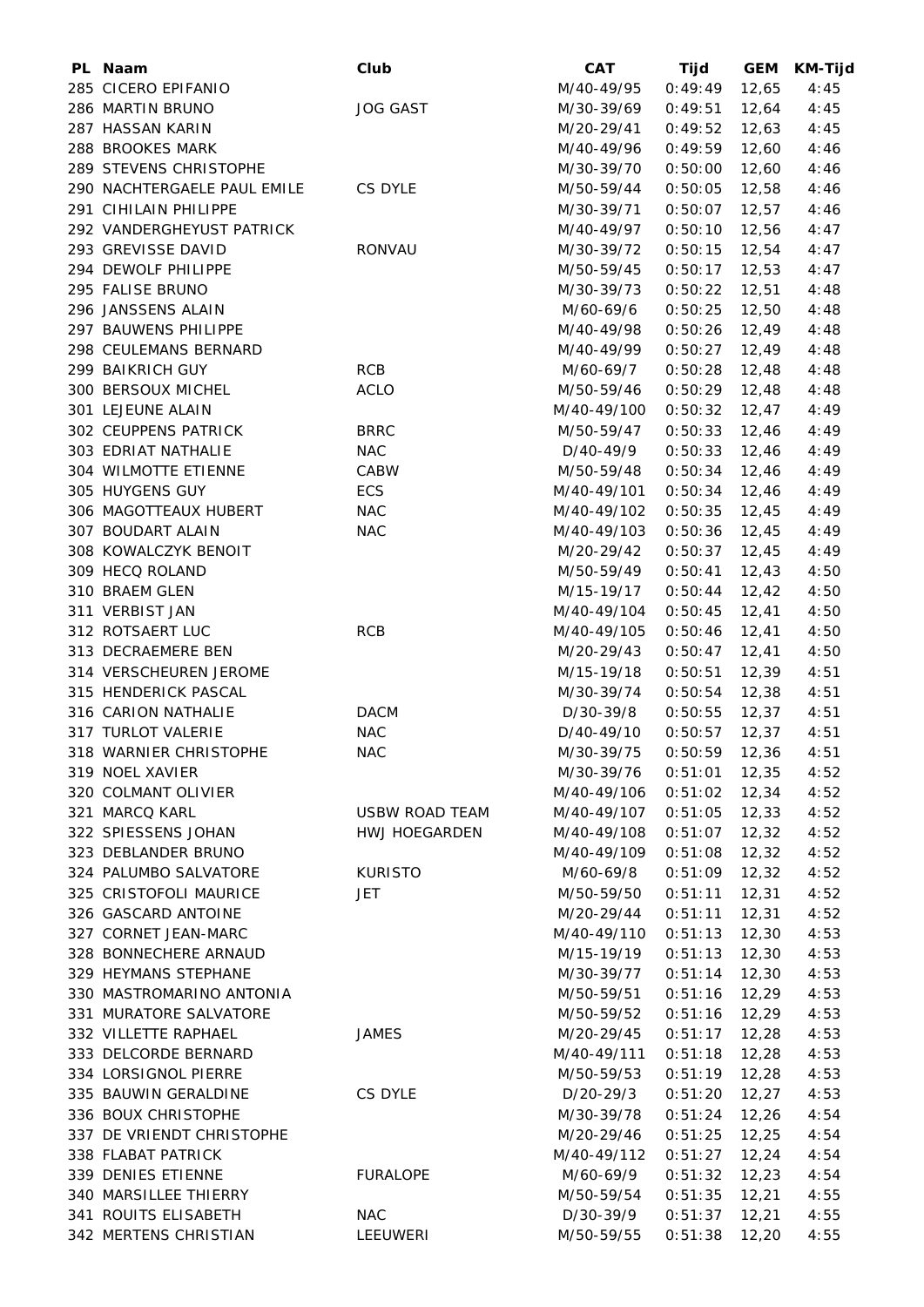| PL Naam                                       | Club                  | <b>CAT</b>                  | Tijd            | <b>GEM</b>     | <b>KM-Tijd</b> |
|-----------------------------------------------|-----------------------|-----------------------------|-----------------|----------------|----------------|
| 285 CICERO EPIFANIO                           |                       | M/40-49/95                  | 0:49:49         | 12,65          | 4:45           |
| 286 MARTIN BRUNO                              | <b>JOG GAST</b>       | M/30-39/69                  | 0:49:51         | 12,64          | 4:45           |
| 287 HASSAN KARIN                              |                       | M/20-29/41                  | 0:49:52         | 12,63          | 4:45           |
| 288 BROOKES MARK                              |                       | M/40-49/96                  | 0:49:59         | 12,60          | 4:46           |
| 289 STEVENS CHRISTOPHE                        |                       | M/30-39/70                  | 0:50:00         | 12,60          | 4:46           |
| 290 NACHTERGAELE PAUL EMILE                   | CS DYLE               | M/50-59/44                  | 0:50:05         | 12,58          | 4:46           |
| 291 CIHILAIN PHILIPPE                         |                       | M/30-39/71                  | 0:50:07         | 12,57          | 4:46           |
| 292 VANDERGHEYUST PATRICK                     |                       | M/40-49/97                  | 0:50:10         | 12,56          | 4:47           |
| 293 GREVISSE DAVID                            | RONVAU                | M/30-39/72                  | 0:50:15         | 12,54          | 4:47           |
| 294 DEWOLF PHILIPPE                           |                       |                             |                 | 12,53          |                |
|                                               |                       | M/50-59/45                  | 0:50:17         |                | 4:47           |
| 295 FALISE BRUNO                              |                       | M/30-39/73                  | 0:50:22         | 12,51          | 4:48           |
| 296 JANSSENS ALAIN                            |                       | M/60-69/6                   | 0:50:25         | 12,50          | 4:48           |
| 297 BAUWENS PHILIPPE                          |                       | M/40-49/98                  | 0:50:26         | 12,49          | 4:48           |
| 298 CEULEMANS BERNARD                         |                       | M/40-49/99                  | 0:50:27         | 12,49          | 4:48           |
| 299 BAIKRICH GUY                              | <b>RCB</b>            | M/60-69/7                   | 0:50:28         | 12,48          | 4:48           |
| 300 BERSOUX MICHEL                            | <b>ACLO</b>           | M/50-59/46                  | 0:50:29         | 12,48          | 4:48           |
| 301 LEJEUNE ALAIN                             |                       | M/40-49/100                 | 0:50:32         | 12,47          | 4:49           |
| 302 CEUPPENS PATRICK                          | <b>BRRC</b>           | M/50-59/47                  | 0:50:33         | 12,46          | 4:49           |
| 303 EDRIAT NATHALIE                           | <b>NAC</b>            | D/40-49/9                   | 0:50:33         | 12,46          | 4:49           |
| 304 WILMOTTE ETIENNE                          | CABW                  | M/50-59/48                  | 0:50:34         | 12,46          | 4:49           |
| 305 HUYGENS GUY                               | ECS                   | M/40-49/101                 | 0:50:34         | 12,46          | 4:49           |
| 306 MAGOTTEAUX HUBERT                         | <b>NAC</b>            | M/40-49/102                 | 0:50:35         | 12,45          | 4:49           |
| 307 BOUDART ALAIN                             | <b>NAC</b>            | M/40-49/103                 | 0:50:36         | 12,45          | 4:49           |
| 308 KOWALCZYK BENOIT                          |                       | M/20-29/42                  | 0:50:37         | 12,45          | 4:49           |
| 309 HECQ ROLAND                               |                       | M/50-59/49                  | 0:50:41         | 12,43          | 4:50           |
| 310 BRAEM GLEN                                |                       | M/15-19/17                  | 0:50:44         | 12,42          | 4:50           |
| 311 VERBIST JAN                               |                       | M/40-49/104                 | 0:50:45         | 12,41          | 4:50           |
| 312 ROTSAERT LUC                              | <b>RCB</b>            | M/40-49/105                 | 0:50:46         | 12,41          | 4:50           |
| 313 DECRAEMERE BEN                            |                       | M/20-29/43                  | 0:50:47         | 12,41          | 4:50           |
| 314 VERSCHEUREN JEROME                        |                       | M/15-19/18                  | 0:50:51         | 12,39          | 4:51           |
| 315 HENDERICK PASCAL                          |                       | M/30-39/74                  | 0:50:54         | 12,38          | 4:51           |
| 316 CARION NATHALIE                           | <b>DACM</b>           | D/30-39/8                   | 0:50:55         | 12,37          | 4:51           |
| 317 TURLOT VALERIE                            | <b>NAC</b>            | D/40-49/10                  | 0:50:57         | 12,37          | 4:51           |
| 318 WARNIER CHRISTOPHE                        | <b>NAC</b>            | M/30-39/75  0:50:59  12,36  |                 |                | 4:51           |
| 319 NOEL XAVIER                               |                       | M/30-39/76                  | $0:51:01$ 12,35 |                | 4:52           |
| 320 COLMANT OLIVIER                           |                       | M/40-49/106  0:51:02  12,34 |                 |                | 4:52           |
| 321 MARCQ KARL                                | <b>USBW ROAD TEAM</b> | M/40-49/107 0:51:05         |                 | 12,33          | 4:52           |
| 322 SPIESSENS JOHAN                           | HWJ HOEGARDEN         | M/40-49/108                 | 0:51:07         | 12,32          | 4:52           |
| 323 DEBLANDER BRUNO                           |                       | M/40-49/109                 | 0:51:08         | 12,32          | 4:52           |
| 324 PALUMBO SALVATORE                         | <b>KURISTO</b>        | M/60-69/8                   | 0:51:09         | 12,32          | 4:52           |
|                                               |                       |                             |                 |                |                |
| 325 CRISTOFOLI MAURICE<br>326 GASCARD ANTOINE | JET.                  | M/50-59/50                  | 0:51:11         | 12,31<br>12,31 | 4:52           |
|                                               |                       | M/20-29/44                  | 0:51:11         |                | 4:52           |
| 327 CORNET JEAN-MARC                          |                       | M/40-49/110                 | 0:51:13         | 12,30          | 4:53           |
| 328 BONNECHERE ARNAUD                         |                       | M/15-19/19                  | 0:51:13         | 12,30          | 4:53           |
| 329 HEYMANS STEPHANE                          |                       | M/30-39/77                  | 0:51:14         | 12,30          | 4:53           |
| 330 MASTROMARINO ANTONIA                      |                       | M/50-59/51                  | 0:51:16         | 12,29          | 4:53           |
| 331 MURATORE SALVATORE                        |                       | M/50-59/52                  | $0:51:16$ 12,29 |                | 4:53           |
| 332 VILLETTE RAPHAEL                          | <b>JAMES</b>          | M/20-29/45                  | 0:51:17         | 12,28          | 4:53           |
| 333 DELCORDE BERNARD                          |                       | M/40-49/111                 | 0:51:18         | 12,28          | 4:53           |
| 334 LORSIGNOL PIERRE                          |                       | M/50-59/53                  | 0:51:19         | 12,28          | 4:53           |
| 335 BAUWIN GERALDINE                          | CS DYLE               | D/20-29/3                   | 0:51:20         | 12,27          | 4:53           |
| 336 BOUX CHRISTOPHE                           |                       | M/30-39/78                  | 0:51:24         | 12,26          | 4:54           |
| 337 DE VRIENDT CHRISTOPHE                     |                       | M/20-29/46                  | 0:51:25         | 12,25          | 4:54           |
| 338 FLABAT PATRICK                            |                       | M/40-49/112                 | 0:51:27         | 12,24          | 4:54           |
| 339 DENIES ETIENNE                            | <b>FURALOPE</b>       | M/60-69/9                   | 0:51:32         | 12,23          | 4:54           |
| 340 MARSILLEE THIERRY                         |                       | M/50-59/54                  | 0:51:35         | 12,21          | 4:55           |
| 341 ROUITS ELISABETH                          | <b>NAC</b>            | D/30-39/9                   | 0:51:37         | 12,21          | 4:55           |
| 342 MERTENS CHRISTIAN                         | LEEUWERI              | M/50-59/55                  | 0:51:38         | 12,20          | 4:55           |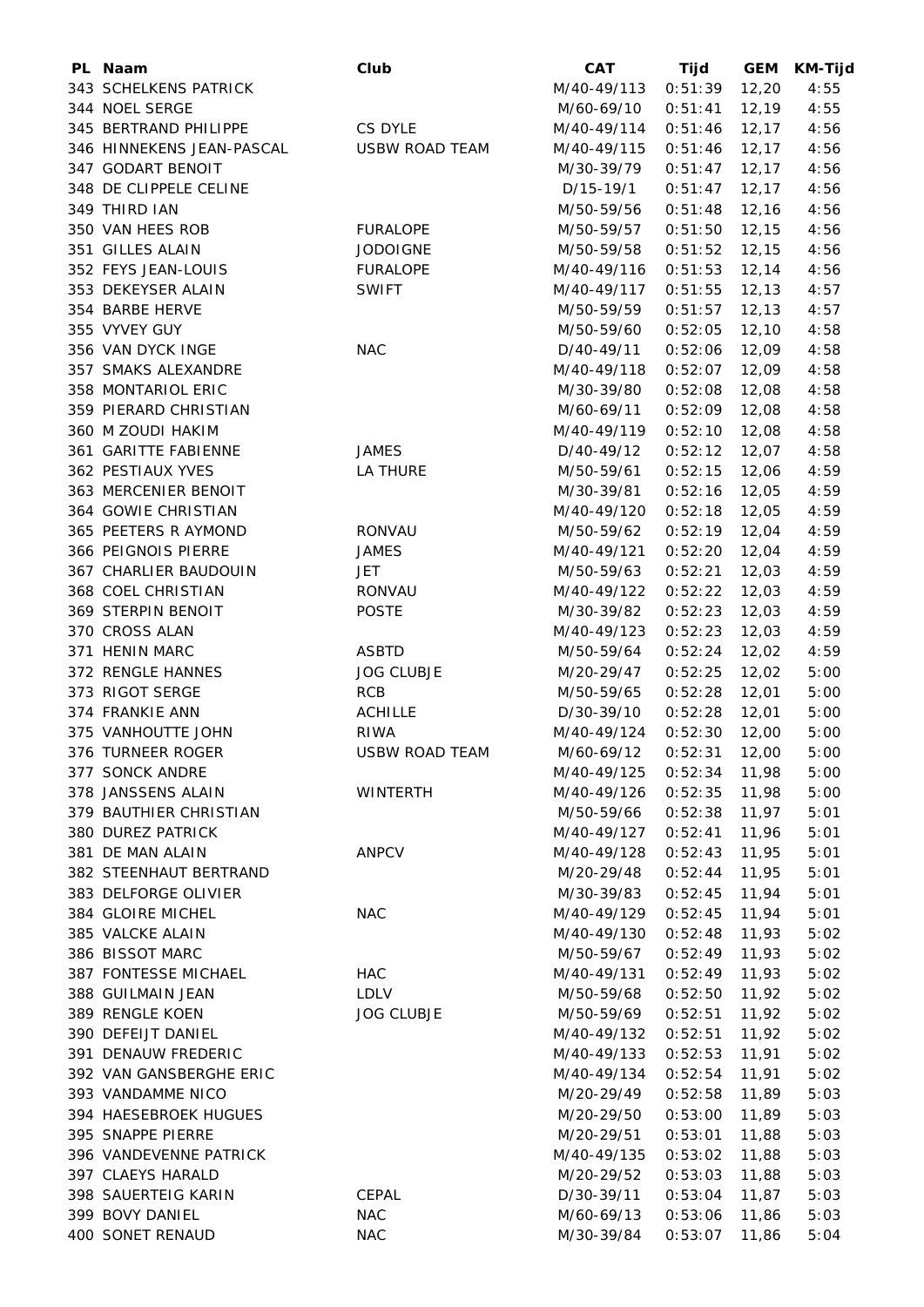| PL Naam                   | Club                  | <b>CAT</b>  | Tijd            | <b>GEM</b> | <b>KM-Tijd</b> |
|---------------------------|-----------------------|-------------|-----------------|------------|----------------|
| 343 SCHELKENS PATRICK     |                       | M/40-49/113 | 0:51:39         | 12,20      | 4:55           |
| 344 NOEL SERGE            |                       | M/60-69/10  | 0:51:41         | 12,19      | 4:55           |
| 345 BERTRAND PHILIPPE     | CS DYLE               | M/40-49/114 | 0:51:46         | 12,17      | 4:56           |
| 346 HINNEKENS JEAN-PASCAL | <b>USBW ROAD TEAM</b> | M/40-49/115 | 0:51:46         | 12,17      | 4:56           |
| 347 GODART BENOIT         |                       | M/30-39/79  | 0:51:47         | 12,17      | 4:56           |
| 348 DE CLIPPELE CELINE    |                       | D/15-19/1   | 0:51:47         | 12,17      | 4:56           |
| 349 THIRD IAN             |                       | M/50-59/56  | 0:51:48         | 12,16      | 4:56           |
| 350 VAN HEES ROB          | <b>FURALOPE</b>       | M/50-59/57  | 0:51:50         | 12, 15     | 4:56           |
| 351 GILLES ALAIN          | <b>JODOIGNE</b>       | M/50-59/58  | 0:51:52         | 12,15      | 4:56           |
| 352 FEYS JEAN-LOUIS       | <b>FURALOPE</b>       | M/40-49/116 | 0:51:53         | 12,14      | 4:56           |
| 353 DEKEYSER ALAIN        | <b>SWIFT</b>          | M/40-49/117 | 0:51:55         | 12, 13     | 4:57           |
| 354 BARBE HERVE           |                       | M/50-59/59  | 0:51:57         | 12, 13     | 4:57           |
| 355 VYVEY GUY             |                       | M/50-59/60  | 0:52:05         | 12,10      | 4:58           |
| 356 VAN DYCK INGE         | <b>NAC</b>            | D/40-49/11  | 0:52:06         | 12,09      | 4:58           |
| 357 SMAKS ALEXANDRE       |                       | M/40-49/118 | 0:52:07         | 12,09      | 4:58           |
| 358 MONTARIOL ERIC        |                       | M/30-39/80  | 0:52:08         | 12,08      | 4:58           |
| 359 PIERARD CHRISTIAN     |                       | M/60-69/11  | 0:52:09         | 12,08      | 4:58           |
| 360 M ZOUDI HAKIM         |                       | M/40-49/119 | 0:52:10         | 12,08      | 4:58           |
| 361 GARITTE FABIENNE      | <b>JAMES</b>          | D/40-49/12  | 0:52:12         | 12,07      | 4:58           |
| 362 PESTIAUX YVES         | LA THURE              | M/50-59/61  | 0:52:15         | 12,06      | 4:59           |
| 363 MERCENIER BENOIT      |                       | M/30-39/81  | 0:52:16         | 12,05      | 4:59           |
| 364 GOWIE CHRISTIAN       |                       | M/40-49/120 | 0:52:18         | 12,05      | 4:59           |
| 365 PEETERS R AYMOND      | RONVAU                | M/50-59/62  | 0:52:19         | 12,04      | 4:59           |
| 366 PEIGNOIS PIERRE       | <b>JAMES</b>          | M/40-49/121 | 0:52:20         | 12,04      | 4:59           |
| 367 CHARLIER BAUDOUIN     | JET.                  | M/50-59/63  | 0:52:21         | 12,03      | 4:59           |
| 368 COEL CHRISTIAN        | RONVAU                | M/40-49/122 | 0:52:22         | 12,03      | 4:59           |
| 369 STERPIN BENOIT        | <b>POSTE</b>          | M/30-39/82  | 0:52:23         | 12,03      | 4:59           |
| 370 CROSS ALAN            |                       | M/40-49/123 | 0:52:23         | 12,03      | 4:59           |
| 371 HENIN MARC            | ASBTD                 | M/50-59/64  | 0:52:24         | 12,02      | 4:59           |
| 372 RENGLE HANNES         | <b>JOG CLUBJE</b>     | M/20-29/47  | 0:52:25         | 12,02      | 5:00           |
| 373 RIGOT SERGE           | <b>RCB</b>            | M/50-59/65  | 0:52:28         | 12,01      | 5:00           |
| 374 FRANKIE ANN           | <b>ACHILLE</b>        | D/30-39/10  | 0:52:28         | 12,01      | 5:00           |
| 375 VANHOUTTE JOHN        | <b>RIWA</b>           | M/40-49/124 | 0:52:30         | 12,00      | 5:00           |
| 376 TURNEER ROGER         | <b>USBW ROAD TEAM</b> | M/60-69/12  | $0:52:31$ 12,00 |            | 5:00           |
| 377 SONCK ANDRE           |                       | M/40-49/125 | $0:52:34$ 11,98 |            | 5:00           |
| 378 JANSSENS ALAIN        | <b>WINTERTH</b>       | M/40-49/126 | 0:52:35         | 11,98      | 5:00           |
| 379 BAUTHIER CHRISTIAN    |                       | M/50-59/66  | 0:52:38         | 11,97      | 5:01           |
| 380 DUREZ PATRICK         |                       | M/40-49/127 | 0:52:41         | 11,96      | 5:01           |
| 381 DE MAN ALAIN          | <b>ANPCV</b>          | M/40-49/128 | 0:52:43         | 11,95      | 5:01           |
| 382 STEENHAUT BERTRAND    |                       | M/20-29/48  | 0:52:44         | 11,95      | 5:01           |
| 383 DELFORGE OLIVIER      |                       | M/30-39/83  | 0:52:45         | 11,94      | 5:01           |
| 384 GLOIRE MICHEL         | <b>NAC</b>            | M/40-49/129 | 0:52:45         | 11,94      | 5:01           |
| 385 VALCKE ALAIN          |                       | M/40-49/130 | 0:52:48         | 11,93      | 5:02           |
| 386 BISSOT MARC           |                       | M/50-59/67  | 0:52:49         | 11,93      | 5:02           |
| 387 FONTESSE MICHAEL      | <b>HAC</b>            | M/40-49/131 | 0:52:49         | 11,93      | 5:02           |
| 388 GUILMAIN JEAN         | LDLV                  | M/50-59/68  | 0:52:50         | 11,92      | 5:02           |
| 389 RENGLE KOEN           | <b>JOG CLUBJE</b>     | M/50-59/69  | 0:52:51         | 11,92      | 5:02           |
| 390 DEFEIJT DANIEL        |                       | M/40-49/132 | 0:52:51         | 11,92      | 5:02           |
| 391 DENAUW FREDERIC       |                       | M/40-49/133 | 0:52:53         | 11,91      | 5:02           |
| 392 VAN GANSBERGHE ERIC   |                       | M/40-49/134 | 0:52:54         | 11,91      | 5:02           |
| 393 VANDAMME NICO         |                       | M/20-29/49  | 0:52:58         | 11,89      | 5:03           |
| 394 HAESEBROEK HUGUES     |                       | M/20-29/50  | 0:53:00         | 11,89      | 5:03           |
| 395 SNAPPE PIERRE         |                       | M/20-29/51  | 0:53:01         | 11,88      | 5:03           |
| 396 VANDEVENNE PATRICK    |                       | M/40-49/135 | 0:53:02         | 11,88      | 5:03           |
| 397 CLAEYS HARALD         |                       | M/20-29/52  | 0:53:03         | 11,88      | 5:03           |
| 398 SAUERTEIG KARIN       | CEPAL                 | D/30-39/11  | 0:53:04         | 11,87      | 5:03           |
| 399 BOVY DANIEL           | <b>NAC</b>            | M/60-69/13  | 0:53:06         | 11,86      | 5:03           |
| 400 SONET RENAUD          | <b>NAC</b>            | M/30-39/84  | 0:53:07         | 11,86      | 5:04           |
|                           |                       |             |                 |            |                |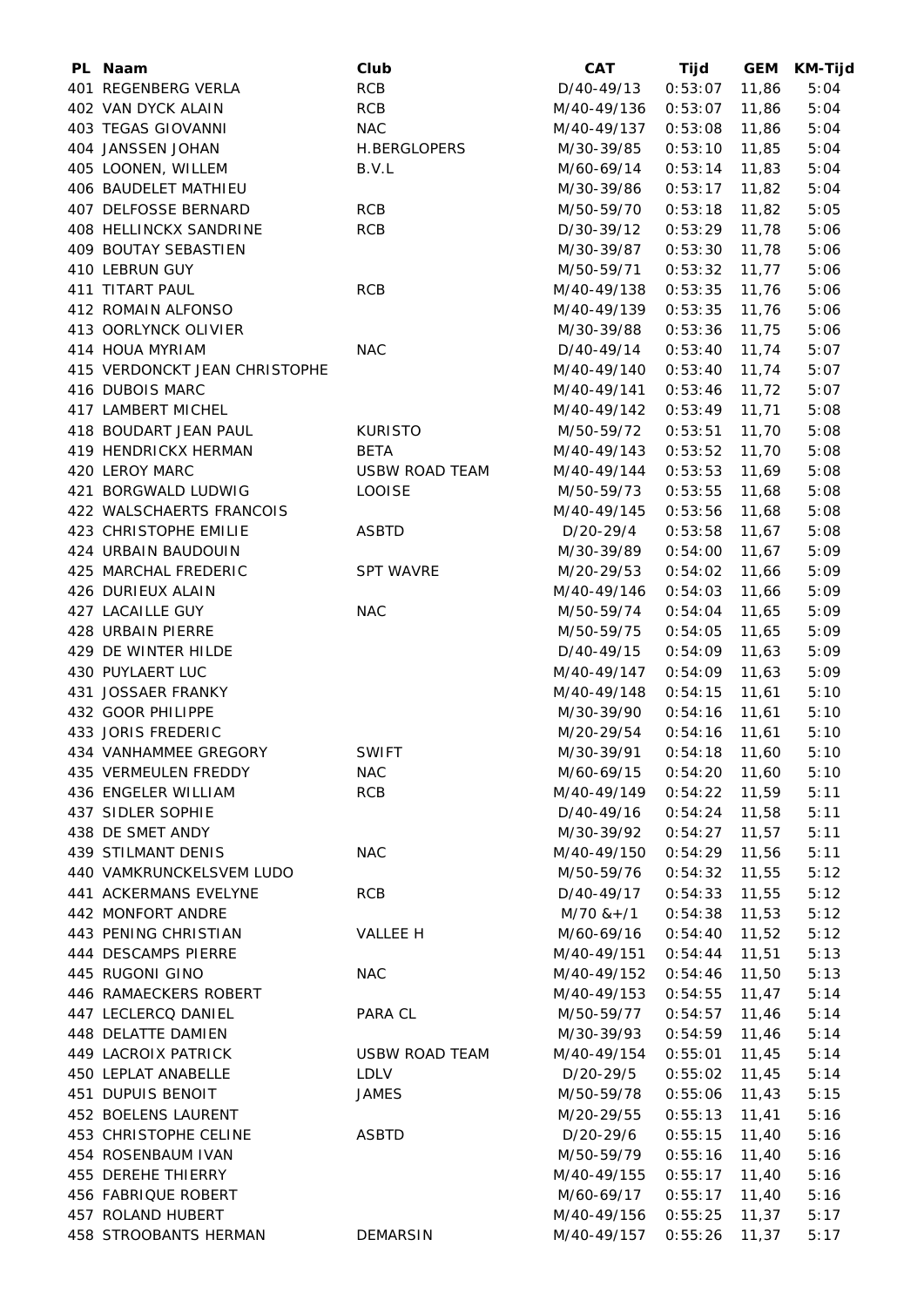| PL Naam                       | Club                  | <b>CAT</b>                  | Tijd            | <b>GEM</b> | KM-Tijd |
|-------------------------------|-----------------------|-----------------------------|-----------------|------------|---------|
| 401 REGENBERG VERLA           | <b>RCB</b>            | D/40-49/13                  | 0:53:07         | 11,86      | 5:04    |
| 402 VAN DYCK ALAIN            | <b>RCB</b>            | M/40-49/136                 | 0:53:07         | 11,86      | 5:04    |
| 403 TEGAS GIOVANNI            | <b>NAC</b>            | M/40-49/137                 | 0:53:08         | 11,86      | 5:04    |
| 404 JANSSEN JOHAN             | H.BERGLOPERS          | M/30-39/85                  | 0:53:10         | 11,85      | 5:04    |
| 405 LOONEN, WILLEM            | B.V.L                 | M/60-69/14                  | 0:53:14         | 11,83      | 5:04    |
| 406 BAUDELET MATHIEU          |                       | M/30-39/86                  | 0:53:17         | 11,82      | 5:04    |
| 407 DELFOSSE BERNARD          | <b>RCB</b>            | M/50-59/70                  | 0:53:18         | 11,82      | 5:05    |
| 408 HELLINCKX SANDRINE        | <b>RCB</b>            | D/30-39/12                  | 0:53:29         | 11,78      | 5:06    |
| 409 BOUTAY SEBASTIEN          |                       |                             | 0:53:30         | 11,78      | 5:06    |
|                               |                       | M/30-39/87                  |                 |            |         |
| 410 LEBRUN GUY                |                       | M/50-59/71                  | 0:53:32         | 11,77      | 5:06    |
| 411 TITART PAUL               | <b>RCB</b>            | M/40-49/138                 | 0:53:35         | 11,76      | 5:06    |
| 412 ROMAIN ALFONSO            |                       | M/40-49/139                 | 0:53:35         | 11,76      | 5:06    |
| 413 OORLYNCK OLIVIER          |                       | M/30-39/88                  | 0:53:36         | 11,75      | 5:06    |
| 414 HOUA MYRIAM               | <b>NAC</b>            | D/40-49/14                  | 0:53:40         | 11,74      | 5:07    |
| 415 VERDONCKT JEAN CHRISTOPHE |                       | M/40-49/140                 | 0:53:40         | 11,74      | 5:07    |
| 416 DUBOIS MARC               |                       | M/40-49/141                 | 0:53:46         | 11,72      | 5:07    |
| 417 LAMBERT MICHEL            |                       | M/40-49/142                 | 0:53:49         | 11,71      | 5:08    |
| 418 BOUDART JEAN PAUL         | <b>KURISTO</b>        | M/50-59/72                  | 0:53:51         | 11,70      | 5:08    |
| 419 HENDRICKX HERMAN          | <b>BETA</b>           | M/40-49/143                 | 0:53:52         | 11,70      | 5:08    |
| 420 LEROY MARC                | <b>USBW ROAD TEAM</b> | M/40-49/144                 | 0:53:53         | 11,69      | 5:08    |
| 421 BORGWALD LUDWIG           | <b>LOOISE</b>         | M/50-59/73                  | 0:53:55         | 11,68      | 5:08    |
| 422 WALSCHAERTS FRANCOIS      |                       | M/40-49/145                 | 0:53:56         | 11,68      | 5:08    |
| 423 CHRISTOPHE EMILIE         | <b>ASBTD</b>          | D/20-29/4                   | 0:53:58         | 11,67      | 5:08    |
| 424 URBAIN BAUDOUIN           |                       | M/30-39/89                  | 0:54:00         | 11,67      | 5:09    |
| 425 MARCHAL FREDERIC          | <b>SPT WAVRE</b>      | M/20-29/53                  | 0:54:02         | 11,66      | 5:09    |
| 426 DURIEUX ALAIN             |                       | M/40-49/146                 | 0:54:03         | 11,66      | 5:09    |
| 427 LACAILLE GUY              | <b>NAC</b>            | M/50-59/74                  | 0:54:04         | 11,65      | 5:09    |
| 428 URBAIN PIERRE             |                       | M/50-59/75                  | 0:54:05         | 11,65      | 5:09    |
| 429 DE WINTER HILDE           |                       | D/40-49/15                  | 0:54:09         | 11,63      | 5:09    |
|                               |                       | M/40-49/147                 |                 |            |         |
| 430 PUYLAERT LUC              |                       |                             | 0:54:09         | 11,63      | 5:09    |
| 431 JOSSAER FRANKY            |                       | M/40-49/148                 | 0:54:15         | 11,61      | 5:10    |
| 432 GOOR PHILIPPE             |                       | M/30-39/90                  | 0:54:16         | 11,61      | 5:10    |
| 433 JORIS FREDERIC            |                       | M/20-29/54                  | 0:54:16         | 11,61      | 5:10    |
| 434 VANHAMMEE GREGORY         | <b>SWIFT</b>          | M/30-39/91  0:54:18  11,60  |                 |            | 5:10    |
| 435 VERMEULEN FREDDY          | <b>NAC</b>            | M/60-69/15                  | $0:54:20$ 11,60 |            | 5:10    |
| 436 ENGELER WILLIAM           | <b>RCB</b>            | M/40-49/149  0:54:22  11,59 |                 |            | 5:11    |
| 437 SIDLER SOPHIE             |                       | D/40-49/16                  | 0:54:24         | 11,58      | 5:11    |
| 438 DE SMET ANDY              |                       | M/30-39/92                  | 0:54:27         | 11,57      | 5:11    |
| 439 STILMANT DENIS            | <b>NAC</b>            | M/40-49/150                 | 0:54:29         | 11,56      | 5:11    |
| 440 VAMKRUNCKELSVEM LUDO      |                       | M/50-59/76                  | 0:54:32         | 11,55      | 5:12    |
| 441 ACKERMANS EVELYNE         | <b>RCB</b>            | D/40-49/17                  | 0:54:33         | 11,55      | 5:12    |
| 442 MONFORT ANDRE             |                       | $M/70$ & + $/1$             | 0:54:38         | 11,53      | 5:12    |
| 443 PENING CHRISTIAN          | VALLEE H              | M/60-69/16                  | 0:54:40         | 11,52      | 5:12    |
| 444 DESCAMPS PIERRE           |                       | M/40-49/151                 | 0:54:44         | 11,51      | 5:13    |
| 445 RUGONI GINO               | <b>NAC</b>            | M/40-49/152                 | 0:54:46         | 11,50      | 5:13    |
| 446 RAMAECKERS ROBERT         |                       | M/40-49/153                 | 0:54:55         | 11,47      | 5:14    |
| 447 LECLERCQ DANIEL           | PARA CL               | M/50-59/77                  | 0:54:57         | 11,46      | 5:14    |
| 448 DELATTE DAMIEN            |                       | M/30-39/93                  | 0:54:59         | 11,46      | 5:14    |
| 449 LACROIX PATRICK           | USBW ROAD TEAM        | M/40-49/154                 | 0:55:01         | 11,45      | 5:14    |
| 450 LEPLAT ANABELLE           | LDLV                  | D/20-29/5                   | 0:55:02         | 11,45      | 5:14    |
| 451 DUPUIS BENOIT             | <b>JAMES</b>          | M/50-59/78                  | 0:55:06         | 11,43      | 5:15    |
|                               |                       |                             |                 |            |         |
| 452 BOELENS LAURENT           |                       | M/20-29/55                  | 0:55:13         | 11,41      | 5:16    |
| 453 CHRISTOPHE CELINE         | <b>ASBTD</b>          | D/20-29/6                   | 0:55:15         | 11,40      | 5:16    |
| 454 ROSENBAUM IVAN            |                       | M/50-59/79                  | 0:55:16         | 11,40      | 5:16    |
| 455 DEREHE THIERRY            |                       | M/40-49/155                 | 0:55:17         | 11,40      | 5:16    |
| 456 FABRIQUE ROBERT           |                       | M/60-69/17                  | 0:55:17         | 11,40      | 5:16    |
| 457 ROLAND HUBERT             |                       | M/40-49/156                 | 0:55:25         | 11,37      | 5:17    |
| 458 STROOBANTS HERMAN         | <b>DEMARSIN</b>       | M/40-49/157                 | 0:55:26         | 11,37      | 5:17    |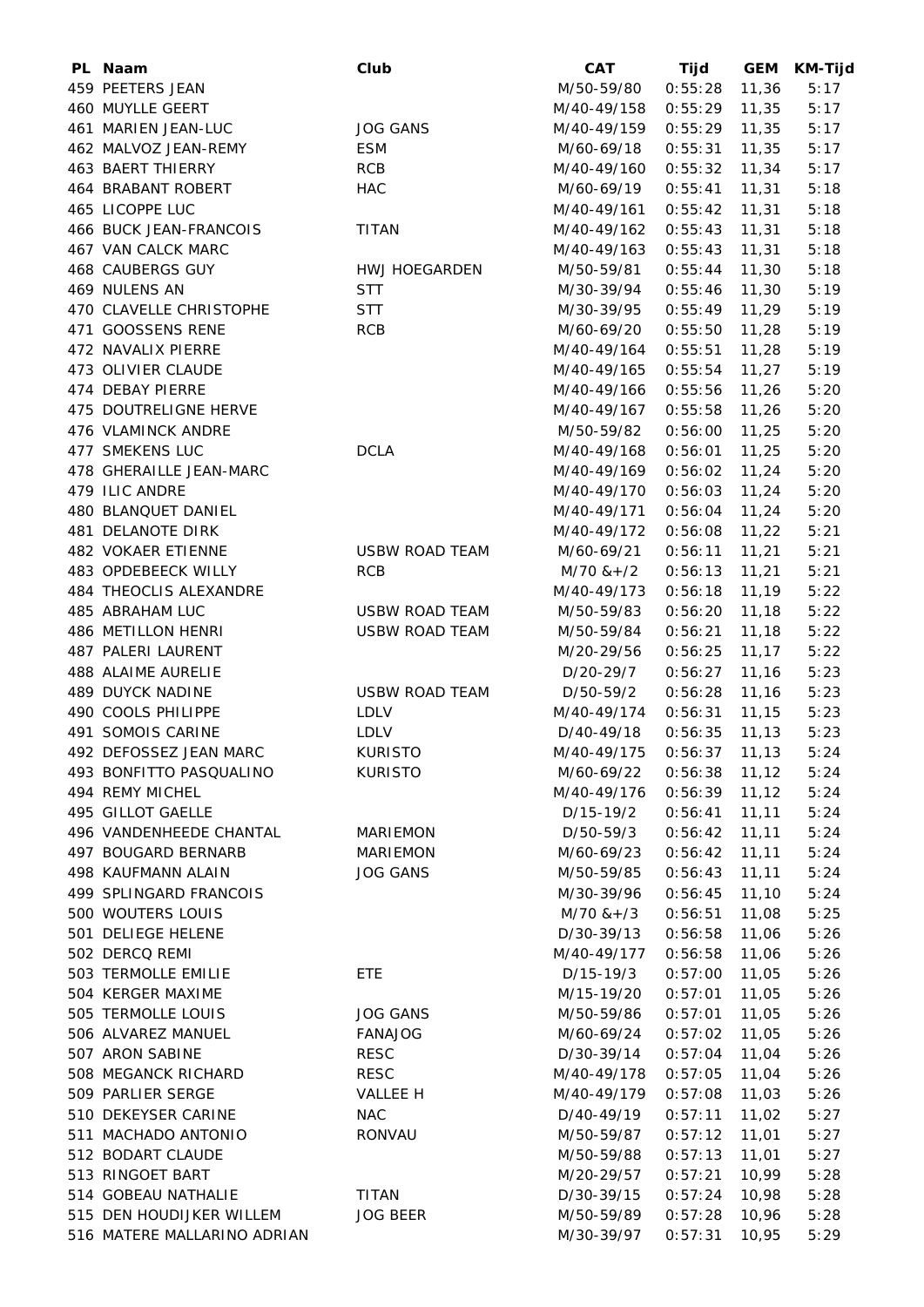| PL Naam                     | Club                  | <b>CAT</b>                  | Tijd            | <b>GEM</b> | <b>KM-Tijd</b> |
|-----------------------------|-----------------------|-----------------------------|-----------------|------------|----------------|
| 459 PEETERS JEAN            |                       | M/50-59/80                  | 0:55:28         | 11,36      | 5:17           |
| 460 MUYLLE GEERT            |                       | M/40-49/158                 | 0:55:29         | 11,35      | 5:17           |
| 461 MARIEN JEAN-LUC         | <b>JOG GANS</b>       | M/40-49/159                 | 0:55:29         | 11,35      | 5:17           |
| 462 MALVOZ JEAN-REMY        | <b>ESM</b>            | M/60-69/18                  | 0:55:31         | 11,35      | 5:17           |
| 463 BAERT THIERRY           | <b>RCB</b>            | M/40-49/160                 | 0:55:32         | 11,34      | 5:17           |
| 464 BRABANT ROBERT          | <b>HAC</b>            | M/60-69/19                  | 0:55:41         | 11,31      | 5:18           |
| 465 LICOPPE LUC             |                       | M/40-49/161                 | 0:55:42         | 11,31      | 5:18           |
| 466 BUCK JEAN-FRANCOIS      | <b>TITAN</b>          | M/40-49/162                 | 0:55:43         | 11,31      | 5:18           |
| 467 VAN CALCK MARC          |                       | M/40-49/163                 | 0:55:43         | 11,31      | 5:18           |
| <b>468 CAUBERGS GUY</b>     | <b>HWJ HOEGARDEN</b>  | M/50-59/81                  | 0:55:44         | 11,30      | 5:18           |
| 469 NULENS AN               | <b>STT</b>            | M/30-39/94                  | 0:55:46         | 11,30      | 5:19           |
| 470 CLAVELLE CHRISTOPHE     | STT                   | M/30-39/95                  | 0:55:49         | 11,29      | 5:19           |
| 471 GOOSSENS RENE           | <b>RCB</b>            | M/60-69/20                  | 0:55:50         | 11,28      | 5:19           |
| 472 NAVALIX PIERRE          |                       | M/40-49/164                 | 0:55:51         | 11,28      | 5:19           |
| 473 OLIVIER CLAUDE          |                       | M/40-49/165                 | 0:55:54         | 11,27      | 5:19           |
| 474 DEBAY PIERRE            |                       | M/40-49/166                 | 0:55:56         | 11,26      | 5:20           |
| 475 DOUTRELIGNE HERVE       |                       | M/40-49/167                 | 0:55:58         | 11,26      | 5:20           |
| 476 VLAMINCK ANDRE          |                       | M/50-59/82                  | 0:56:00         | 11,25      | 5:20           |
| 477 SMEKENS LUC             | <b>DCLA</b>           | M/40-49/168                 | 0:56:01         | 11,25      | 5:20           |
| 478 GHERAILLE JEAN-MARC     |                       | M/40-49/169                 | 0:56:02         | 11,24      | 5:20           |
| 479 ILIC ANDRE              |                       | M/40-49/170                 | 0:56:03         | 11,24      | 5:20           |
| 480 BLANQUET DANIEL         |                       | M/40-49/171                 | 0:56:04         | 11,24      | 5:20           |
| 481 DELANOTE DIRK           |                       | M/40-49/172                 | 0:56:08         | 11,22      | 5:21           |
| 482 VOKAER ETIENNE          | <b>USBW ROAD TEAM</b> | M/60-69/21                  | 0:56:11         | 11,21      | 5:21           |
| 483 OPDEBEECK WILLY         | <b>RCB</b>            | $M/70$ & + $/2$             | 0:56:13         | 11,21      | 5:21           |
| 484 THEOCLIS ALEXANDRE      |                       | M/40-49/173                 | 0:56:18         | 11,19      | 5:22           |
| 485 ABRAHAM LUC             | <b>USBW ROAD TEAM</b> | M/50-59/83                  | 0:56:20         | 11,18      | 5:22           |
| 486 METILLON HENRI          | <b>USBW ROAD TEAM</b> | M/50-59/84                  | 0:56:21         | 11,18      | 5:22           |
| 487 PALERI LAURENT          |                       | M/20-29/56                  | 0:56:25         | 11, 17     | 5:22           |
| 488 ALAIME AURELIE          |                       | D/20-29/7                   | 0:56:27         | 11,16      | 5:23           |
| 489 DUYCK NADINE            | <b>USBW ROAD TEAM</b> | D/50-59/2                   | 0:56:28         | 11,16      | 5:23           |
| 490 COOLS PHILIPPE          | <b>LDLV</b>           | M/40-49/174                 | 0:56:31         | 11,15      | 5:23           |
| 491 SOMOIS CARINE           | <b>LDLV</b>           | D/40-49/18                  | 0:56:35         | 11,13      | 5:23           |
| 492 DEFOSSEZ JEAN MARC      | <b>KURISTO</b>        | M/40-49/175  0:56:37  11,13 |                 |            | 5:24           |
| 493 BONFITTO PASQUALINO     | <b>KURISTO</b>        | M/60-69/22                  | $0:56:38$ 11,12 |            | 5:24           |
| 494 REMY MICHEL             |                       | M/40-49/176                 | $0:56:39$ 11,12 |            | 5:24           |
| 495 GILLOT GAELLE           |                       | D/15-19/2                   | 0:56:41         | 11,11      | 5:24           |
| 496 VANDENHEEDE CHANTAL     | <b>MARIEMON</b>       | D/50-59/3                   | 0:56:42         | 11, 11     | 5:24           |
| 497 BOUGARD BERNARB         | <b>MARIEMON</b>       | M/60-69/23                  | 0:56:42         | 11, 11     | 5:24           |
| 498 KAUFMANN ALAIN          | <b>JOG GANS</b>       | M/50-59/85                  | 0:56:43         | 11,11      | 5:24           |
| 499 SPLINGARD FRANCOIS      |                       | M/30-39/96                  | 0:56:45         | 11,10      | 5:24           |
| 500 WOUTERS LOUIS           |                       | $M/70$ & + /3               | 0:56:51         | 11,08      | 5:25           |
| 501 DELIEGE HELENE          |                       | D/30-39/13                  | 0:56:58         | 11,06      | 5:26           |
| 502 DERCQ REMI              |                       | M/40-49/177                 | 0:56:58         | 11,06      | 5:26           |
| 503 TERMOLLE EMILIE         | ETE.                  | D/15-19/3                   | 0:57:00         | 11,05      | 5:26           |
| 504 KERGER MAXIME           |                       | M/15-19/20                  | 0:57:01         | 11,05      | 5:26           |
| 505 TERMOLLE LOUIS          | <b>JOG GANS</b>       | M/50-59/86                  | 0:57:01         | 11,05      | 5:26           |
| 506 ALVAREZ MANUEL          | <b>FANAJOG</b>        | M/60-69/24                  | 0:57:02         | 11,05      | 5:26           |
| 507 ARON SABINE             | <b>RESC</b>           | D/30-39/14                  | 0:57:04         | 11,04      | 5:26           |
| 508 MEGANCK RICHARD         | <b>RESC</b>           | M/40-49/178                 | 0:57:05         | 11,04      | 5:26           |
| 509 PARLIER SERGE           | VALLEE H              | M/40-49/179                 | 0:57:08         | 11,03      | 5:26           |
| 510 DEKEYSER CARINE         | NAC                   | D/40-49/19                  | 0:57:11         | 11,02      | 5:27           |
| 511 MACHADO ANTONIO         | RONVAU                | M/50-59/87                  | 0:57:12         | 11,01      | 5:27           |
| 512 BODART CLAUDE           |                       | M/50-59/88                  | 0:57:13         | 11,01      | 5:27           |
| 513 RINGOET BART            |                       | M/20-29/57                  | 0:57:21         | 10,99      | 5:28           |
| 514 GOBEAU NATHALIE         | <b>TITAN</b>          | D/30-39/15                  | 0:57:24         | 10,98      | 5:28           |
| 515 DEN HOUDIJKER WILLEM    | <b>JOG BEER</b>       | M/50-59/89                  | 0:57:28         | 10,96      | 5:28           |
| 516 MATERE MALLARINO ADRIAN |                       | M/30-39/97                  | 0:57:31         | 10,95      | 5:29           |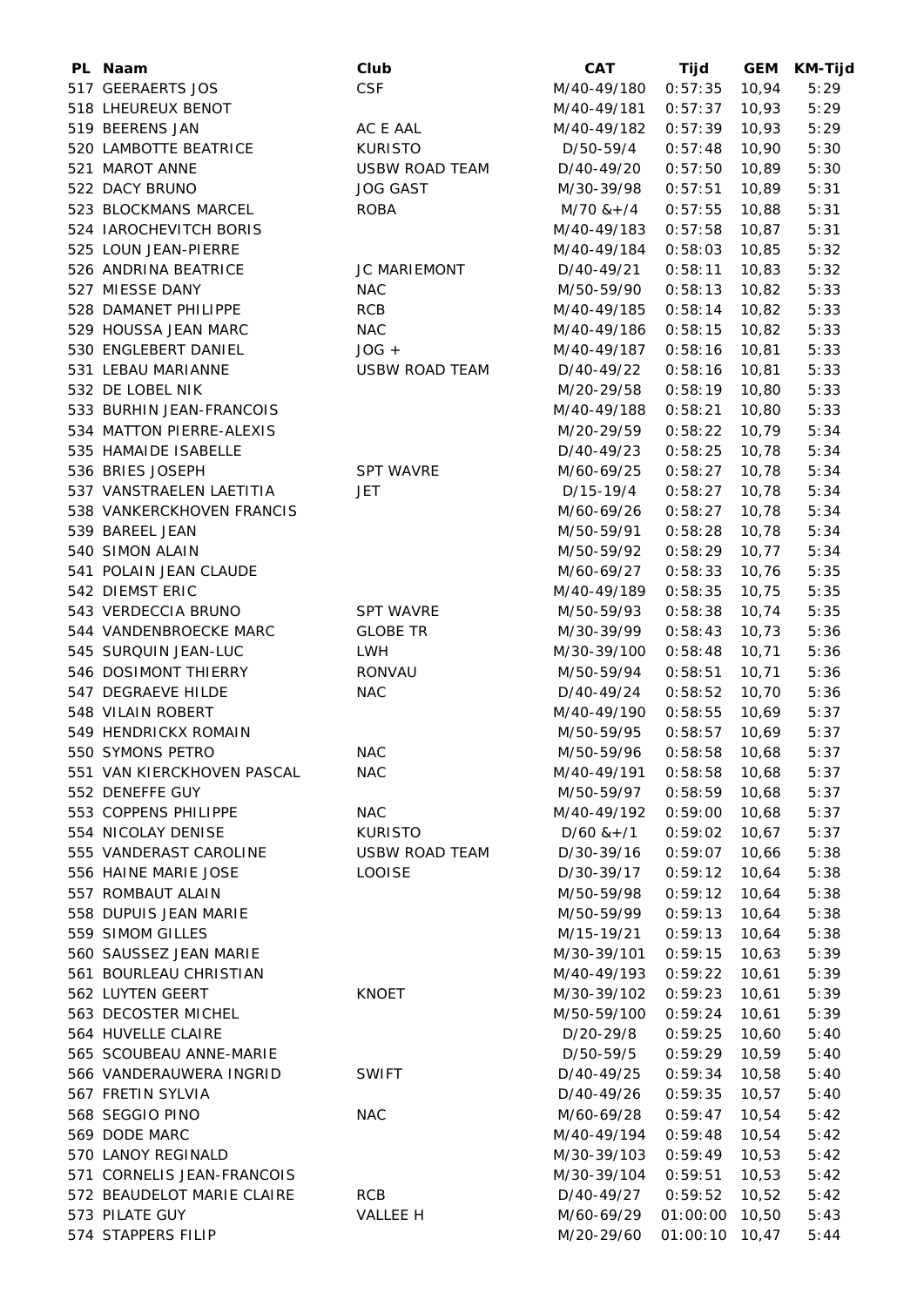| PL Naam                    | Club                  | <b>CAT</b>                  | Tijd           | <b>GEM</b> | <b>KM-Tijd</b> |
|----------------------------|-----------------------|-----------------------------|----------------|------------|----------------|
| 517 GEERAERTS JOS          | <b>CSF</b>            | M/40-49/180                 | 0:57:35        | 10,94      | 5:29           |
| 518 LHEUREUX BENOT         |                       | M/40-49/181                 | 0:57:37        | 10,93      | 5:29           |
| 519 BEERENS JAN            | AC E AAL              | M/40-49/182                 | 0:57:39        | 10,93      | 5:29           |
| 520 LAMBOTTE BEATRICE      | <b>KURISTO</b>        | D/50-59/4                   | 0:57:48        | 10,90      | 5:30           |
| 521 MAROT ANNE             | <b>USBW ROAD TEAM</b> | D/40-49/20                  | 0:57:50        | 10,89      | 5:30           |
| 522 DACY BRUNO             | <b>JOG GAST</b>       | M/30-39/98                  | 0:57:51        | 10,89      | 5:31           |
| 523 BLOCKMANS MARCEL       | <b>ROBA</b>           | $M/70$ & + /4               | 0:57:55        | 10,88      | 5:31           |
| 524 IAROCHEVITCH BORIS     |                       | M/40-49/183                 | 0:57:58        | 10,87      | 5:31           |
| 525 LOUN JEAN-PIERRE       |                       | M/40-49/184                 | 0:58:03        | 10,85      | 5:32           |
| 526 ANDRINA BEATRICE       | JC MARIEMONT          | D/40-49/21                  | 0:58:11        | 10,83      | 5:32           |
| 527 MIESSE DANY            | <b>NAC</b>            | M/50-59/90                  | 0:58:13        | 10,82      | 5:33           |
| 528 DAMANET PHILIPPE       | <b>RCB</b>            | M/40-49/185                 | 0:58:14        | 10,82      | 5:33           |
| 529 HOUSSA JEAN MARC       | <b>NAC</b>            | M/40-49/186                 | 0:58:15        | 10,82      | 5:33           |
| 530 ENGLEBERT DANIEL       | $JOG +$               | M/40-49/187                 | 0:58:16        | 10,81      | 5:33           |
| 531 LEBAU MARIANNE         | <b>USBW ROAD TEAM</b> | D/40-49/22                  | 0:58:16        | 10,81      | 5:33           |
| 532 DE LOBEL NIK           |                       | M/20-29/58                  | 0:58:19        | 10,80      | 5:33           |
| 533 BURHIN JEAN-FRANCOIS   |                       | M/40-49/188                 | 0:58:21        | 10,80      | 5:33           |
| 534 MATTON PIERRE-ALEXIS   |                       | M/20-29/59                  | 0:58:22        | 10,79      | 5:34           |
| 535 HAMAIDE ISABELLE       |                       | $D/40 - 49/23$              | 0:58:25        | 10,78      | 5:34           |
| 536 BRIES JOSEPH           | <b>SPT WAVRE</b>      |                             | 0:58:27        | 10,78      | 5:34           |
| 537 VANSTRAELEN LAETITIA   | JET                   | M/60-69/25                  |                | 10,78      | 5:34           |
|                            |                       | D/15-19/4                   | 0:58:27        |            |                |
| 538 VANKERCKHOVEN FRANCIS  |                       | M/60-69/26                  | 0:58:27        | 10,78      | 5:34           |
| 539 BAREEL JEAN            |                       | M/50-59/91                  | 0:58:28        | 10,78      | 5:34           |
| 540 SIMON ALAIN            |                       | M/50-59/92                  | 0:58:29        | 10,77      | 5:34           |
| 541 POLAIN JEAN CLAUDE     |                       | M/60-69/27                  | 0:58:33        | 10,76      | 5:35           |
| 542 DIEMST ERIC            |                       | M/40-49/189                 | 0:58:35        | 10,75      | 5:35           |
| 543 VERDECCIA BRUNO        | <b>SPT WAVRE</b>      | M/50-59/93                  | 0:58:38        | 10,74      | 5:35           |
| 544 VANDENBROECKE MARC     | <b>GLOBE TR</b>       | M/30-39/99                  | 0:58:43        | 10,73      | 5:36           |
| 545 SURQUIN JEAN-LUC       | <b>LWH</b>            | M/30-39/100                 | 0:58:48        | 10,71      | 5:36           |
| 546 DOSIMONT THIERRY       | <b>RONVAU</b>         | M/50-59/94                  | 0:58:51        | 10,71      | 5:36           |
| 547 DEGRAEVE HILDE         | <b>NAC</b>            | D/40-49/24                  | 0:58:52        | 10,70      | 5:36           |
| 548 VILAIN ROBERT          |                       | M/40-49/190                 | 0:58:55        | 10,69      | 5:37           |
| 549 HENDRICKX ROMAIN       |                       | M/50-59/95                  | 0:58:57        | 10,69      | 5:37           |
| 550 SYMONS PETRO           | <b>NAC</b>            | M/50-59/96  0:58:58  10,68  |                |            | 5:37           |
| 551 VAN KIERCKHOVEN PASCAL | <b>NAC</b>            | M/40-49/191  0:58:58  10,68 |                |            | 5:37           |
| 552 DENEFFE GUY            |                       | M/50-59/97                  | 0:58:59        | 10,68      | 5:37           |
| 553 COPPENS PHILIPPE       | <b>NAC</b>            | M/40-49/192                 | 0:59:00        | 10,68      | 5:37           |
| 554 NICOLAY DENISE         | <b>KURISTO</b>        | $D/60$ & + $/1$             | 0:59:02        | 10,67      | 5:37           |
| 555 VANDERAST CAROLINE     | <b>USBW ROAD TEAM</b> | D/30-39/16                  | 0:59:07        | 10,66      | 5:38           |
| 556 HAINE MARIE JOSE       | <b>LOOISE</b>         | D/30-39/17                  | 0:59:12        | 10,64      | 5:38           |
| 557 ROMBAUT ALAIN          |                       | M/50-59/98                  | 0:59:12        | 10,64      | 5:38           |
| 558 DUPUIS JEAN MARIE      |                       | M/50-59/99                  | 0:59:13        | 10,64      | 5:38           |
| 559 SIMOM GILLES           |                       | M/15-19/21                  | 0:59:13        | 10,64      | 5:38           |
| 560 SAUSSEZ JEAN MARIE     |                       | M/30-39/101                 | 0:59:15        | 10,63      | 5:39           |
| 561 BOURLEAU CHRISTIAN     |                       | M/40-49/193                 | 0:59:22        | 10,61      | 5:39           |
| 562 LUYTEN GEERT           | <b>KNOET</b>          | M/30-39/102                 | 0:59:23        | 10,61      | 5:39           |
| 563 DECOSTER MICHEL        |                       | M/50-59/100                 | 0:59:24        | 10,61      | 5:39           |
| 564 HUVELLE CLAIRE         |                       | D/20-29/8                   | 0:59:25        | 10,60      | 5:40           |
| 565 SCOUBEAU ANNE-MARIE    |                       | D/50-59/5                   | 0:59:29        | 10,59      | 5:40           |
| 566 VANDERAUWERA INGRID    | <b>SWIFT</b>          | D/40-49/25                  | 0:59:34        | 10,58      | 5:40           |
| 567 FRETIN SYLVIA          |                       | D/40-49/26                  | 0:59:35        | 10,57      | 5:40           |
|                            |                       |                             |                |            |                |
| 568 SEGGIO PINO            | <b>NAC</b>            | M/60-69/28                  | 0:59:47        | 10,54      | 5:42           |
| 569 DODE MARC              |                       | M/40-49/194                 | 0:59:48        | 10,54      | 5:42           |
| 570 LANOY REGINALD         |                       | M/30-39/103                 | 0:59:49        | 10,53      | 5:42           |
| 571 CORNELIS JEAN-FRANCOIS |                       | M/30-39/104                 | 0:59:51        | 10,53      | 5:42           |
| 572 BEAUDELOT MARIE CLAIRE | RCB                   | D/40-49/27                  | 0:59:52        | 10,52      | 5:42           |
| 573 PILATE GUY             | VALLEE H              | M/60-69/29                  | 01:00:00       | 10,50      | 5:43           |
| 574 STAPPERS FILIP         |                       | M/20-29/60                  | 01:00:10 10,47 |            | 5:44           |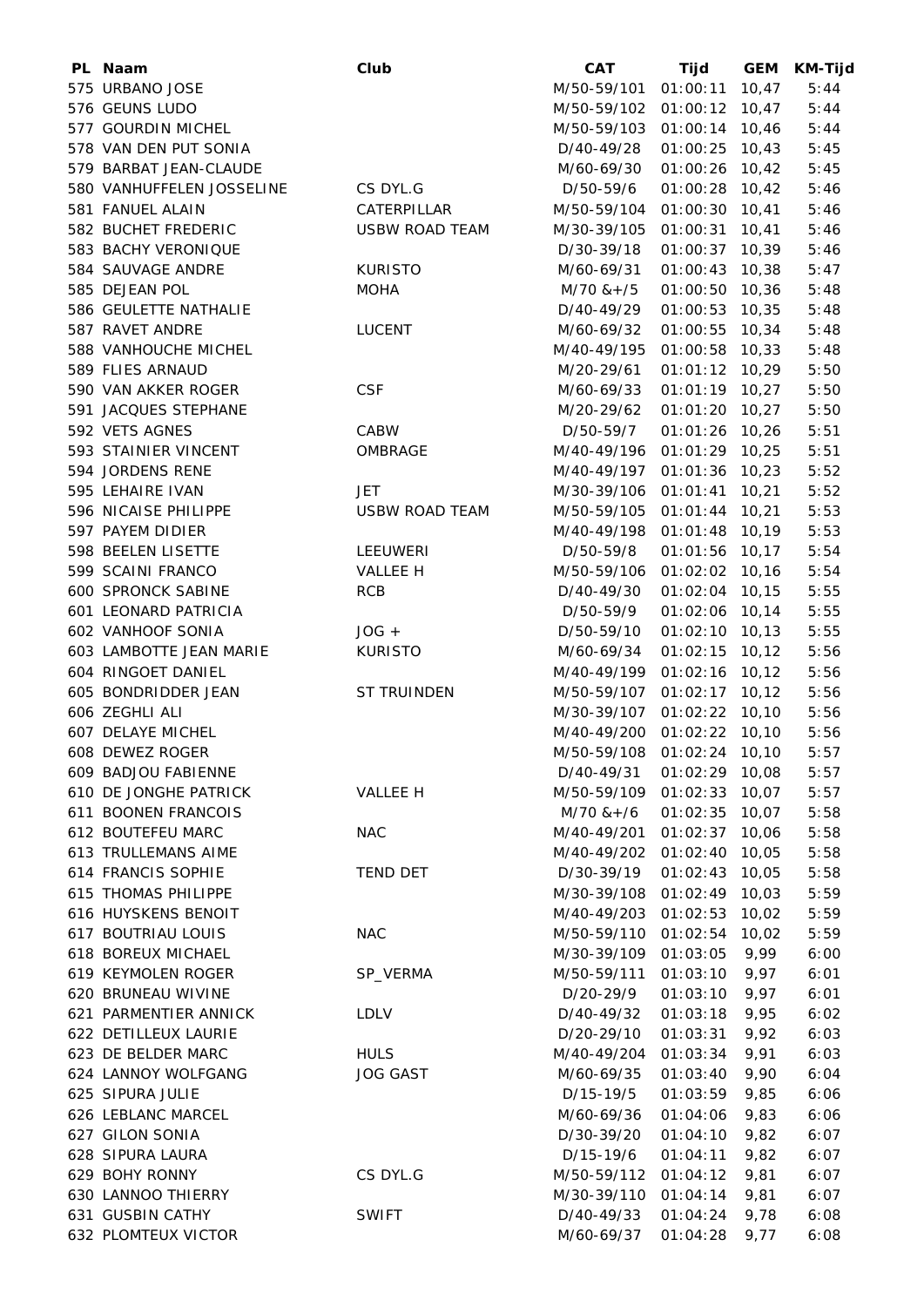| PL Naam                   | Club                  | <b>CAT</b>                 | Tijd             | <b>GEM</b> | <b>KM-Tijd</b> |
|---------------------------|-----------------------|----------------------------|------------------|------------|----------------|
| 575 URBANO JOSE           |                       | M/50-59/101                | 01:00:11         | 10,47      | 5:44           |
| 576 GEUNS LUDO            |                       | M/50-59/102 01:00:12       |                  | 10,47      | 5:44           |
| 577 GOURDIN MICHEL        |                       | M/50-59/103 01:00:14 10,46 |                  |            | 5:44           |
| 578 VAN DEN PUT SONIA     |                       | D/40-49/28                 | $01:00:25$ 10,43 |            | 5:45           |
| 579 BARBAT JEAN-CLAUDE    |                       | M/60-69/30                 | 01:00:26 10,42   |            | 5:45           |
| 580 VANHUFFELEN JOSSELINE | CS DYL.G              | D/50-59/6                  | 01:00:28         | 10,42      | 5:46           |
| 581 FANUEL ALAIN          | CATERPILLAR           | M/50-59/104                | 01:00:30         | 10,41      | 5:46           |
| 582 BUCHET FREDERIC       | <b>USBW ROAD TEAM</b> | M/30-39/105                | 01:00:31         | 10,41      | 5:46           |
| 583 BACHY VERONIQUE       |                       | D/30-39/18                 | 01:00:37         | 10,39      | 5:46           |
| 584 SAUVAGE ANDRE         | <b>KURISTO</b>        | M/60-69/31                 | 01:00:43         | 10,38      | 5:47           |
| 585 DEJEAN POL            | <b>MOHA</b>           | $M/70$ & +/5               | 01:00:50         | 10,36      | 5:48           |
| 586 GEULETTE NATHALIE     |                       | D/40-49/29                 | 01:00:53         | 10,35      | 5:48           |
| 587 RAVET ANDRE           | <b>LUCENT</b>         | M/60-69/32                 | 01:00:55         | 10,34      | 5:48           |
| 588 VANHOUCHE MICHEL      |                       | M/40-49/195                | 01:00:58         | 10,33      | 5:48           |
| 589 FLIES ARNAUD          |                       | M/20-29/61                 | 01:01:12 10,29   |            | 5:50           |
| 590 VAN AKKER ROGER       | <b>CSF</b>            | M/60-69/33                 | $01:01:19$ 10,27 |            | 5:50           |
| 591 JACQUES STEPHANE      |                       | M/20-29/62                 | 01:01:20 10,27   |            | 5:50           |
| 592 VETS AGNES            | CABW                  | D/50-59/7                  | 01:01:26         | 10,26      | 5:51           |
| 593 STAINIER VINCENT      | OMBRAGE               | M/40-49/196                | 01:01:29 10,25   |            | 5:51           |
| 594 JORDENS RENE          |                       | M/40-49/197                | 01:01:36         | 10,23      | 5:52           |
| 595 LEHAIRE IVAN          | JET                   | M/30-39/106                | 01:01:41         | 10,21      | 5:52           |
| 596 NICAISE PHILIPPE      | <b>USBW ROAD TEAM</b> | M/50-59/105                | $01:01:44$ 10,21 |            | 5:53           |
| 597 PAYEM DIDIER          |                       | M/40-49/198                | 01:01:48         | 10,19      | 5:53           |
| 598 BEELEN LISETTE        | LEEUWERI              | D/50-59/8                  | 01:01:56 10,17   |            | 5:54           |
| 599 SCAINI FRANCO         | VALLEE H              | M/50-59/106                | 01:02:02         | 10, 16     | 5:54           |
| <b>600 SPRONCK SABINE</b> | <b>RCB</b>            | D/40-49/30                 | 01:02:04         | 10, 15     | 5:55           |
| 601 LEONARD PATRICIA      |                       | D/50-59/9                  | 01:02:06 10,14   |            | 5:55           |
| 602 VANHOOF SONIA         | $JOG +$               | D/50-59/10                 | 01:02:10 10,13   |            | 5:55           |
| 603 LAMBOTTE JEAN MARIE   | <b>KURISTO</b>        | M/60-69/34                 | $01:02:15$ 10,12 |            | 5:56           |
| 604 RINGOET DANIEL        |                       | M/40-49/199                | 01:02:16         | 10, 12     | 5:56           |
| 605 BONDRIDDER JEAN       | ST TRUINDEN           | M/50-59/107                | 01:02:17         | 10, 12     | 5:56           |
| 606 ZEGHLI ALI            |                       | M/30-39/107                | $01:02:22$ 10,10 |            | 5:56           |
| 607 DELAYE MICHEL         |                       | M/40-49/200 01:02:22 10,10 |                  |            | 5:56           |
| 608 DEWEZ ROGER           |                       | M/50-59/108 01:02:24 10,10 |                  |            | 5:57           |
| 609 BADJOU FABIENNE       |                       | D/40-49/31                 | 01:02:29 10,08   |            | 5:57           |
| 610 DE JONGHE PATRICK     | VALLEE H              | M/50-59/109 01:02:33 10,07 |                  |            | 5:57           |
| 611 BOONEN FRANCOIS       |                       | $M/70$ & +/6               | 01:02:35         | 10,07      | 5:58           |
| 612 BOUTEFEU MARC         | <b>NAC</b>            | M/40-49/201                | 01:02:37         | 10,06      | 5:58           |
| 613 TRULLEMANS AIME       |                       | M/40-49/202                | 01:02:40         | 10,05      | 5:58           |
| 614 FRANCIS SOPHIE        | <b>TEND DET</b>       | D/30-39/19                 | 01:02:43         | 10,05      | 5:58           |
| 615 THOMAS PHILIPPE       |                       | M/30-39/108                | 01:02:49         | 10,03      | 5:59           |
| 616 HUYSKENS BENOIT       |                       | M/40-49/203                | 01:02:53         | 10,02      | 5:59           |
| 617 BOUTRIAU LOUIS        | <b>NAC</b>            | M/50-59/110                | 01:02:54         | 10,02      | 5:59           |
| 618 BOREUX MICHAEL        |                       | M/30-39/109                | 01:03:05         | 9,99       | 6:00           |
| 619 KEYMOLEN ROGER        | SP_VERMA              | M/50-59/111                | 01:03:10         | 9,97       | 6:01           |
| 620 BRUNEAU WIVINE        |                       | D/20-29/9                  | 01:03:10         | 9,97       | 6:01           |
| 621 PARMENTIER ANNICK     | <b>LDLV</b>           | D/40-49/32                 | 01:03:18         | 9,95       | 6:02           |
| 622 DETILLEUX LAURIE      |                       | D/20-29/10                 | 01:03:31         | 9,92       | 6:03           |
| 623 DE BELDER MARC        | <b>HULS</b>           | M/40-49/204                | 01:03:34         | 9,91       | 6:03           |
| 624 LANNOY WOLFGANG       | <b>JOG GAST</b>       | M/60-69/35                 | 01:03:40         | 9,90       | 6:04           |
| 625 SIPURA JULIE          |                       | D/15-19/5                  | 01:03:59         | 9,85       | 6:06           |
| 626 LEBLANC MARCEL        |                       | M/60-69/36                 | 01:04:06         | 9,83       | 6:06           |
| 627 GILON SONIA           |                       | D/30-39/20                 | 01:04:10         | 9,82       | 6:07           |
| 628 SIPURA LAURA          |                       | D/15-19/6                  | 01:04:11         | 9,82       | 6:07           |
| 629 BOHY RONNY            | CS DYL.G              | M/50-59/112                | 01:04:12         | 9,81       | 6:07           |
| 630 LANNOO THIERRY        |                       | M/30-39/110                | 01:04:14         | 9,81       | 6:07           |
| 631 GUSBIN CATHY          | <b>SWIFT</b>          | D/40-49/33                 | 01:04:24         | 9,78       | 6:08           |
| 632 PLOMTEUX VICTOR       |                       | M/60-69/37                 | 01:04:28         | 9,77       | 6:08           |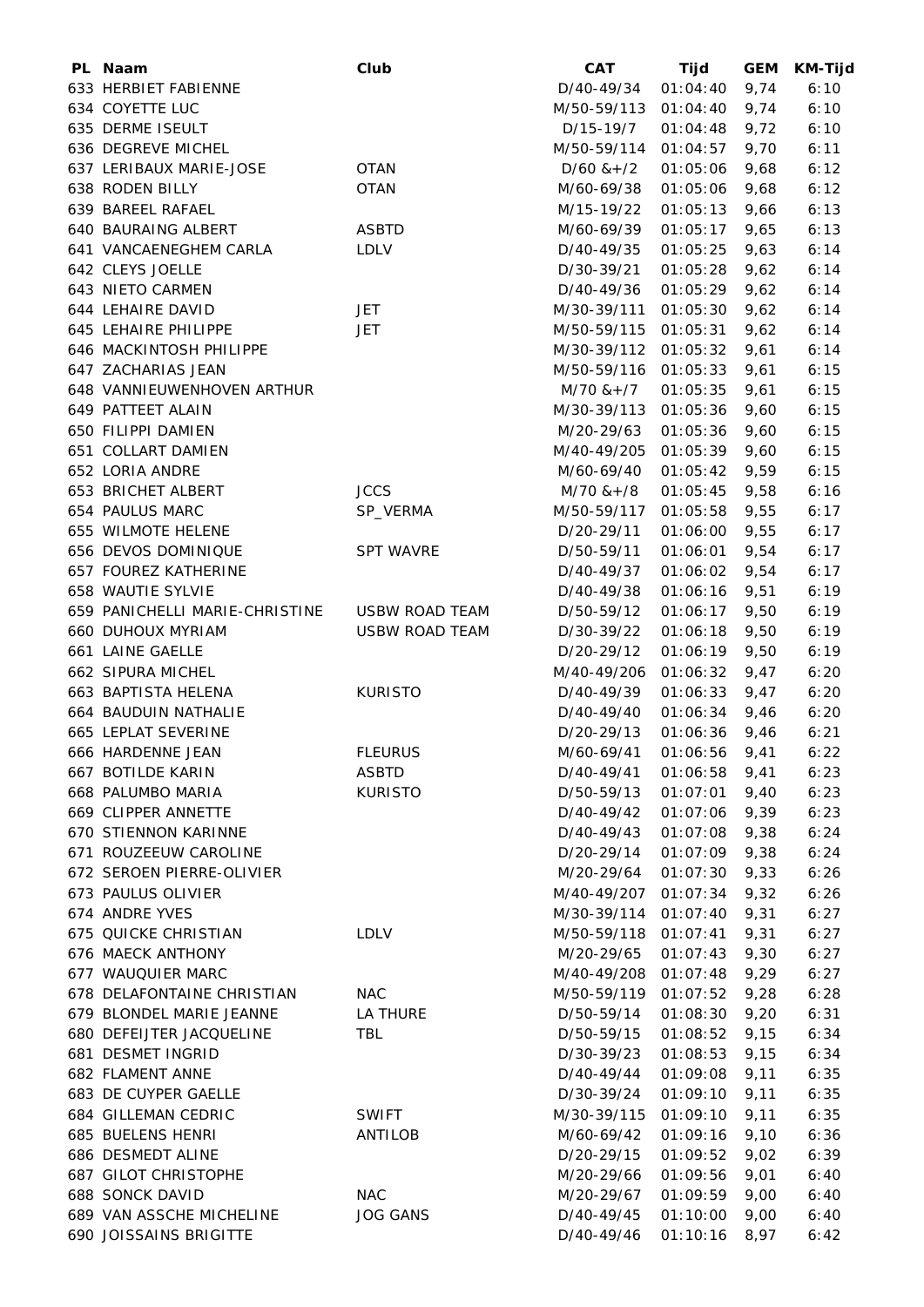| PL Naam                        | Club                  | <b>CAT</b>               | Tijd            | <b>GEM</b> | <b>KM-Tijd</b> |
|--------------------------------|-----------------------|--------------------------|-----------------|------------|----------------|
| 633 HERBIET FABIENNE           |                       | D/40-49/34               | 01:04:40        | 9,74       | 6:10           |
| 634 COYETTE LUC                |                       | M/50-59/113              | 01:04:40        | 9,74       | 6:10           |
| 635 DERME ISEULT               |                       | D/15-19/7                | 01:04:48        | 9,72       | 6:10           |
| 636 DEGREVE MICHEL             |                       | M/50-59/114              | 01:04:57        | 9,70       | 6:11           |
| 637 LERIBAUX MARIE-JOSE        | <b>OTAN</b>           | $D/60$ & + $/2$          | 01:05:06        | 9,68       | 6:12           |
| 638 RODEN BILLY                | <b>OTAN</b>           | M/60-69/38               | 01:05:06        | 9,68       | 6:12           |
| 639 BAREEL RAFAEL              |                       | M/15-19/22               | 01:05:13        | 9,66       | 6:13           |
| 640 BAURAING ALBERT            | <b>ASBTD</b>          | M/60-69/39               | 01:05:17        | 9,65       | 6:13           |
| 641 VANCAENEGHEM CARLA         | LDLV                  | D/40-49/35               | 01:05:25        | 9,63       | 6:14           |
| 642 CLEYS JOELLE               |                       | D/30-39/21               | 01:05:28        | 9,62       | 6:14           |
| 643 NIETO CARMEN               |                       | D/40-49/36               | 01:05:29        | 9,62       | 6:14           |
| 644 LEHAIRE DAVID              | <b>JET</b>            | M/30-39/111              | 01:05:30        | 9,62       | 6:14           |
| 645 LEHAIRE PHILIPPE           | <b>JET</b>            | M/50-59/115              | 01:05:31        | 9,62       | 6:14           |
| 646 MACKINTOSH PHILIPPE        |                       | M/30-39/112              | 01:05:32        | 9,61       | 6:14           |
| 647 ZACHARIAS JEAN             |                       | M/50-59/116 01:05:33     |                 | 9,61       | 6:15           |
| 648 VANNIEUWENHOVEN ARTHUR     |                       | $M/70$ & + $/7$          | 01:05:35        | 9,61       | 6:15           |
| 649 PATTEET ALAIN              |                       | M/30-39/113              | 01:05:36        | 9,60       | 6:15           |
| 650 FILIPPI DAMIEN             |                       | M/20-29/63               | 01:05:36        | 9,60       | 6:15           |
| 651 COLLART DAMIEN             |                       | M/40-49/205              | 01:05:39        | 9,60       | 6:15           |
| 652 LORIA ANDRE                |                       | M/60-69/40               | 01:05:42        | 9,59       | 6:15           |
| 653 BRICHET ALBERT             | <b>JCCS</b>           | $M/70$ & + /8            | 01:05:45        | 9,58       | 6:16           |
| 654 PAULUS MARC                | SP_VERMA              | M/50-59/117              | 01:05:58        | 9,55       | 6:17           |
| 655 WILMOTE HELENE             |                       | D/20-29/11               | 01:06:00        | 9,55       | 6:17           |
| 656 DEVOS DOMINIQUE            | <b>SPT WAVRE</b>      | D/50-59/11               | 01:06:01        | 9,54       | 6:17           |
| 657 FOUREZ KATHERINE           |                       | D/40-49/37               | 01:06:02        | 9,54       | 6:17           |
| 658 WAUTIE SYLVIE              |                       | D/40-49/38               | 01:06:16        | 9,51       | 6:19           |
| 659 PANICHELLI MARIE-CHRISTINE | <b>USBW ROAD TEAM</b> | D/50-59/12               | 01:06:17        | 9,50       | 6:19           |
| <b>660 DUHOUX MYRIAM</b>       | <b>USBW ROAD TEAM</b> | D/30-39/22               | 01:06:18        | 9,50       | 6:19           |
| 661 LAINE GAELLE               |                       | D/20-29/12               | 01:06:19        | 9,50       | 6:19           |
| 662 SIPURA MICHEL              |                       | M/40-49/206              | 01:06:32        | 9,47       | 6:20           |
| 663 BAPTISTA HELENA            | <b>KURISTO</b>        | D/40-49/39               | 01:06:33        | 9,47       | 6:20           |
| 664 BAUDUIN NATHALIE           |                       | D/40-49/40               | 01:06:34        | 9,46       | 6:20           |
| 665 LEPLAT SEVERINE            |                       | D/20-29/13               | 01:06:36        | 9,46       | 6:21           |
| 666 HARDENNE JEAN              | <b>FLEURUS</b>        | M/60-69/41 01:06:56 9,41 |                 |            | 6:22           |
| 667 BOTILDE KARIN              | <b>ASBTD</b>          | D/40-49/41               | $01:06:58$ 9,41 |            | 6:23           |
| 668 PALUMBO MARIA              | <b>KURISTO</b>        | D/50-59/13               | 01:07:01        | 9,40       | 6:23           |
| 669 CLIPPER ANNETTE            |                       | D/40-49/42               | 01:07:06        | 9,39       | 6:23           |
| <b>670 STIENNON KARINNE</b>    |                       | D/40-49/43               | 01:07:08        | 9,38       | 6:24           |
| 671 ROUZEEUW CAROLINE          |                       | D/20-29/14               | 01:07:09        | 9,38       | 6:24           |
| 672 SEROEN PIERRE-OLIVIER      |                       | M/20-29/64               | 01:07:30        | 9,33       | 6:26           |
| 673 PAULUS OLIVIER             |                       | M/40-49/207              | 01:07:34        | 9,32       | 6:26           |
| 674 ANDRE YVES                 |                       | M/30-39/114              | 01:07:40        | 9,31       | 6:27           |
| 675 QUICKE CHRISTIAN           | <b>LDLV</b>           | M/50-59/118              | 01:07:41        | 9,31       | 6:27           |
| 676 MAECK ANTHONY              |                       | M/20-29/65               | 01:07:43        | 9,30       | 6:27           |
| 677 WAUQUIER MARC              |                       | M/40-49/208              | 01:07:48        | 9,29       | 6:27           |
| 678 DELAFONTAINE CHRISTIAN     | <b>NAC</b>            | M/50-59/119 01:07:52     |                 | 9,28       | 6:28           |
| 679 BLONDEL MARIE JEANNE       | LA THURE              | D/50-59/14               | 01:08:30        | 9,20       | 6:31           |
| 680 DEFEIJTER JACQUELINE       | <b>TBL</b>            | D/50-59/15               | 01:08:52        | 9,15       | 6:34           |
| 681 DESMET INGRID              |                       | D/30-39/23               | 01:08:53        | 9,15       | 6:34           |
| 682 FLAMENT ANNE               |                       | D/40-49/44               | 01:09:08        | 9,11       | 6:35           |
| 683 DE CUYPER GAELLE           |                       | D/30-39/24               | 01:09:10        | 9,11       | 6:35           |
| 684 GILLEMAN CEDRIC            | <b>SWIFT</b>          | M/30-39/115              | 01:09:10        | 9,11       | 6:35           |
| 685 BUELENS HENRI              | ANTILOB               | M/60-69/42               | 01:09:16        | 9,10       | 6:36           |
| 686 DESMEDT ALINE              |                       | D/20-29/15               | 01:09:52        | 9,02       | 6:39           |
| <b>687 GILOT CHRISTOPHE</b>    |                       | M/20-29/66               | 01:09:56        | 9,01       | 6:40           |
| 688 SONCK DAVID                | <b>NAC</b>            | M/20-29/67               | 01:09:59        | 9,00       | 6:40           |
| 689 VAN ASSCHE MICHELINE       | <b>JOG GANS</b>       | D/40-49/45               | 01:10:00        | 9,00       | 6:40           |
| 690 JOISSAINS BRIGITTE         |                       | D/40-49/46               | 01:10:16        | 8,97       | 6:42           |